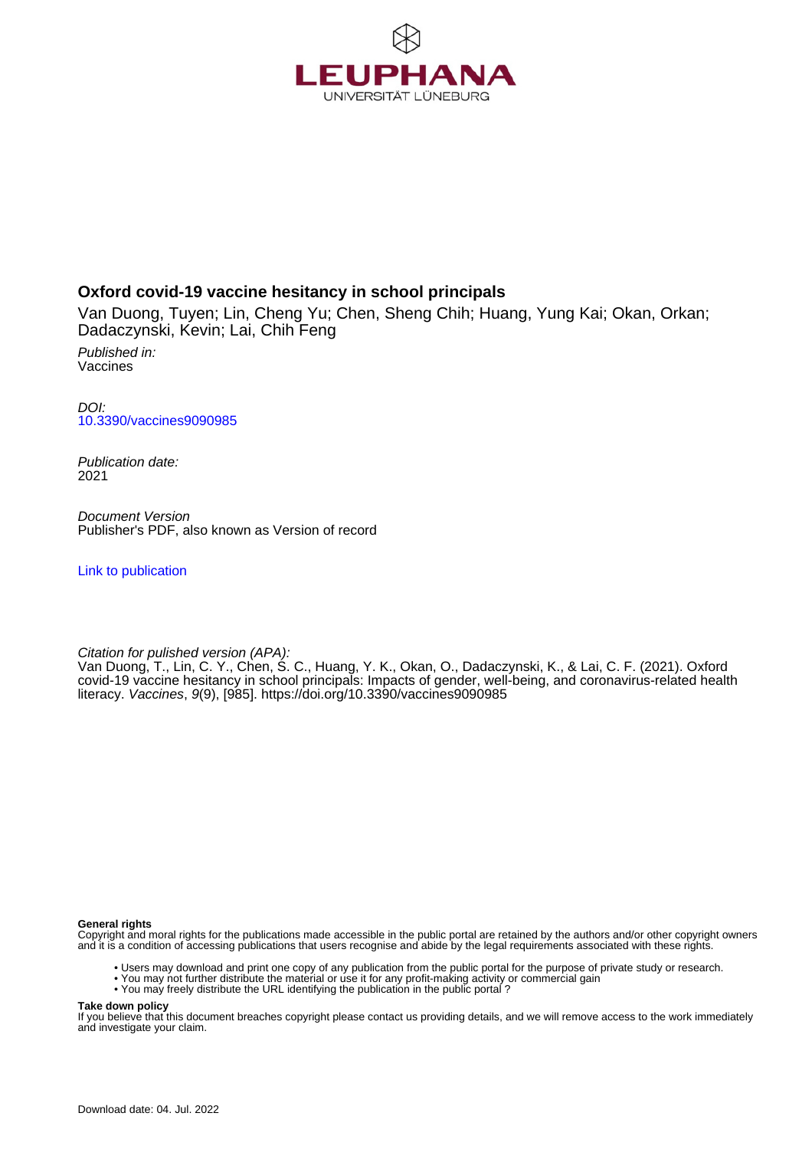

# **Oxford covid-19 vaccine hesitancy in school principals**

Van Duong, Tuyen; Lin, Cheng Yu; Chen, Sheng Chih; Huang, Yung Kai; Okan, Orkan; Dadaczynski, Kevin; Lai, Chih Feng

Published in: Vaccines

DOI: [10.3390/vaccines9090985](https://doi.org/10.3390/vaccines9090985)

Publication date: 2021

Document Version Publisher's PDF, also known as Version of record

[Link to publication](http://fox.leuphana.de/portal/en/publications/oxford-covid19-vaccine-hesitancy-in-school-principals(d8fab640-158f-4794-b00c-3ba61e1c2a68).html)

Citation for pulished version (APA):

Van Duong, T., Lin, C. Y., Chen, S. C., Huang, Y. K., Okan, O., Dadaczynski, K., & Lai, C. F. (2021). [Oxford](http://fox.leuphana.de/portal/de/publications/oxford-covid19-vaccine-hesitancy-in-school-principals(d8fab640-158f-4794-b00c-3ba61e1c2a68).html) [covid-19 vaccine hesitancy in school principals: Impacts of gender, well-being, and coronavirus-related health](http://fox.leuphana.de/portal/de/publications/oxford-covid19-vaccine-hesitancy-in-school-principals(d8fab640-158f-4794-b00c-3ba61e1c2a68).html) [literacy.](http://fox.leuphana.de/portal/de/publications/oxford-covid19-vaccine-hesitancy-in-school-principals(d8fab640-158f-4794-b00c-3ba61e1c2a68).html) [Vaccines](http://fox.leuphana.de/portal/de/journals/vaccines(602f5e08-c957-4e3e-b521-f46647bfca8a)/publications.html), 9(9), [985]. <https://doi.org/10.3390/vaccines9090985>

**General rights**

Copyright and moral rights for the publications made accessible in the public portal are retained by the authors and/or other copyright owners and it is a condition of accessing publications that users recognise and abide by the legal requirements associated with these rights.

- Users may download and print one copy of any publication from the public portal for the purpose of private study or research.
- You may not further distribute the material or use it for any profit-making activity or commercial gain
- You may freely distribute the URL identifying the publication in the public portal ?

**Take down policy**

If you believe that this document breaches copyright please contact us providing details, and we will remove access to the work immediately and investigate your claim.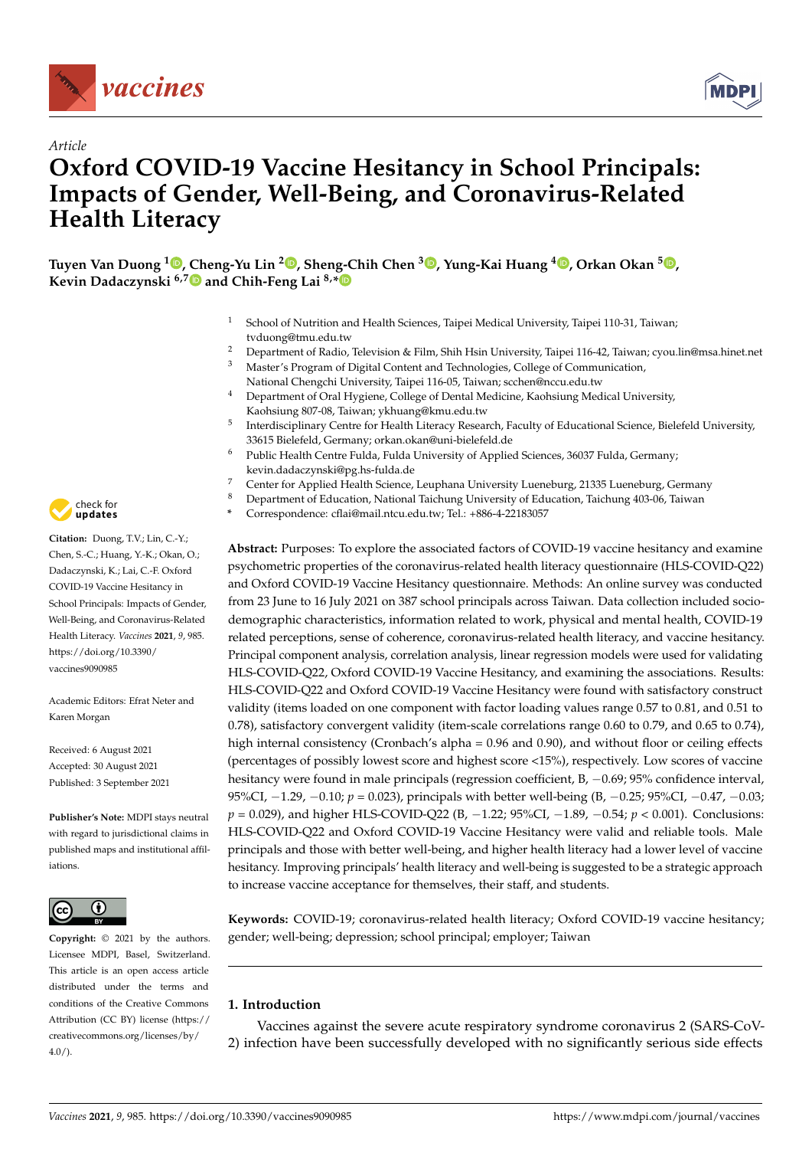

*Article*



# **Oxford COVID-19 Vaccine Hesitancy in School Principals: Impacts of Gender, Well-Being, and Coronavirus-Related Health Literacy**

**Tuyen Van Duong <sup>1</sup> [,](https://orcid.org/0000-0002-2287-0723) Cheng-Yu Lin <sup>2</sup> [,](https://orcid.org/0000-0001-9315-2190) Sheng-Chih Chen <sup>3</sup> [,](https://orcid.org/0000-0003-1550-5418) Yung-Kai Huang <sup>4</sup> [,](https://orcid.org/0000-0002-4467-0300) Orkan Okan <sup>5</sup> [,](https://orcid.org/0000-0003-1714-4783) Kevin Dadaczynski 6,[7](https://orcid.org/0000-0002-7367-5362) and Chih-Feng Lai 8,[\\*](https://orcid.org/0000-0003-1007-097X)**

- <sup>1</sup> School of Nutrition and Health Sciences, Taipei Medical University, Taipei 110-31, Taiwan; tvduong@tmu.edu.tw
- <sup>2</sup> Department of Radio, Television & Film, Shih Hsin University, Taipei 116-42, Taiwan; cyou.lin@msa.hinet.net<br><sup>3</sup> Master's Program of Digital Content and Technologies. College of Communication <sup>3</sup> Master's Program of Digital Content and Technologies, College of Communication,
	- National Chengchi University, Taipei 116-05, Taiwan; scchen@nccu.edu.tw
- <sup>4</sup> Department of Oral Hygiene, College of Dental Medicine, Kaohsiung Medical University, Kaohsiung 807-08, Taiwan; ykhuang@kmu.edu.tw
- 5 Interdisciplinary Centre for Health Literacy Research, Faculty of Educational Science, Bielefeld University, 33615 Bielefeld, Germany; orkan.okan@uni-bielefeld.de
- <sup>6</sup> Public Health Centre Fulda, Fulda University of Applied Sciences, 36037 Fulda, Germany; kevin.dadaczynski@pg.hs-fulda.de
- 7 Center for Applied Health Science, Leuphana University Lueneburg, 21335 Lueneburg, Germany<br>8 Department of Education National Taichung University of Education Taichung 403.06 Taiwan
	- Department of Education, National Taichung University of Education, Taichung 403-06, Taiwan
	- **\*** Correspondence: cflai@mail.ntcu.edu.tw; Tel.: +886-4-22183057

**Abstract:** Purposes: To explore the associated factors of COVID-19 vaccine hesitancy and examine psychometric properties of the coronavirus-related health literacy questionnaire (HLS-COVID-Q22) and Oxford COVID-19 Vaccine Hesitancy questionnaire. Methods: An online survey was conducted from 23 June to 16 July 2021 on 387 school principals across Taiwan. Data collection included sociodemographic characteristics, information related to work, physical and mental health, COVID-19 related perceptions, sense of coherence, coronavirus-related health literacy, and vaccine hesitancy. Principal component analysis, correlation analysis, linear regression models were used for validating HLS-COVID-Q22, Oxford COVID-19 Vaccine Hesitancy, and examining the associations. Results: HLS-COVID-Q22 and Oxford COVID-19 Vaccine Hesitancy were found with satisfactory construct validity (items loaded on one component with factor loading values range 0.57 to 0.81, and 0.51 to 0.78), satisfactory convergent validity (item-scale correlations range 0.60 to 0.79, and 0.65 to 0.74), high internal consistency (Cronbach's alpha = 0.96 and 0.90), and without floor or ceiling effects (percentages of possibly lowest score and highest score <15%), respectively. Low scores of vaccine hesitancy were found in male principals (regression coefficient, B, -0.69; 95% confidence interval, 95%CI, −1.29, −0.10; *p* = 0.023), principals with better well-being (B, −0.25; 95%CI, −0.47, −0.03; *p* = 0.029), and higher HLS-COVID-Q22 (B, −1.22; 95%CI, −1.89, −0.54; *p* < 0.001). Conclusions: HLS-COVID-Q22 and Oxford COVID-19 Vaccine Hesitancy were valid and reliable tools. Male principals and those with better well-being, and higher health literacy had a lower level of vaccine hesitancy. Improving principals' health literacy and well-being is suggested to be a strategic approach to increase vaccine acceptance for themselves, their staff, and students.

**Keywords:** COVID-19; coronavirus-related health literacy; Oxford COVID-19 vaccine hesitancy; gender; well-being; depression; school principal; employer; Taiwan

# **1. Introduction**

Vaccines against the severe acute respiratory syndrome coronavirus 2 (SARS-CoV-2) infection have been successfully developed with no significantly serious side effects



**Citation:** Duong, T.V.; Lin, C.-Y.; Chen, S.-C.; Huang, Y.-K.; Okan, O.; Dadaczynski, K.; Lai, C.-F. Oxford COVID-19 Vaccine Hesitancy in School Principals: Impacts of Gender, Well-Being, and Coronavirus-Related Health Literacy. *Vaccines* **2021**, *9*, 985. [https://doi.org/10.3390/](https://doi.org/10.3390/vaccines9090985) [vaccines9090985](https://doi.org/10.3390/vaccines9090985)

Academic Editors: Efrat Neter and Karen Morgan

Received: 6 August 2021 Accepted: 30 August 2021 Published: 3 September 2021

**Publisher's Note:** MDPI stays neutral with regard to jurisdictional claims in published maps and institutional affiliations.



**Copyright:** © 2021 by the authors. Licensee MDPI, Basel, Switzerland. This article is an open access article distributed under the terms and conditions of the Creative Commons Attribution (CC BY) license (https:/[/](https://creativecommons.org/licenses/by/4.0/) [creativecommons.org/licenses/by/](https://creativecommons.org/licenses/by/4.0/)  $4.0/$ ).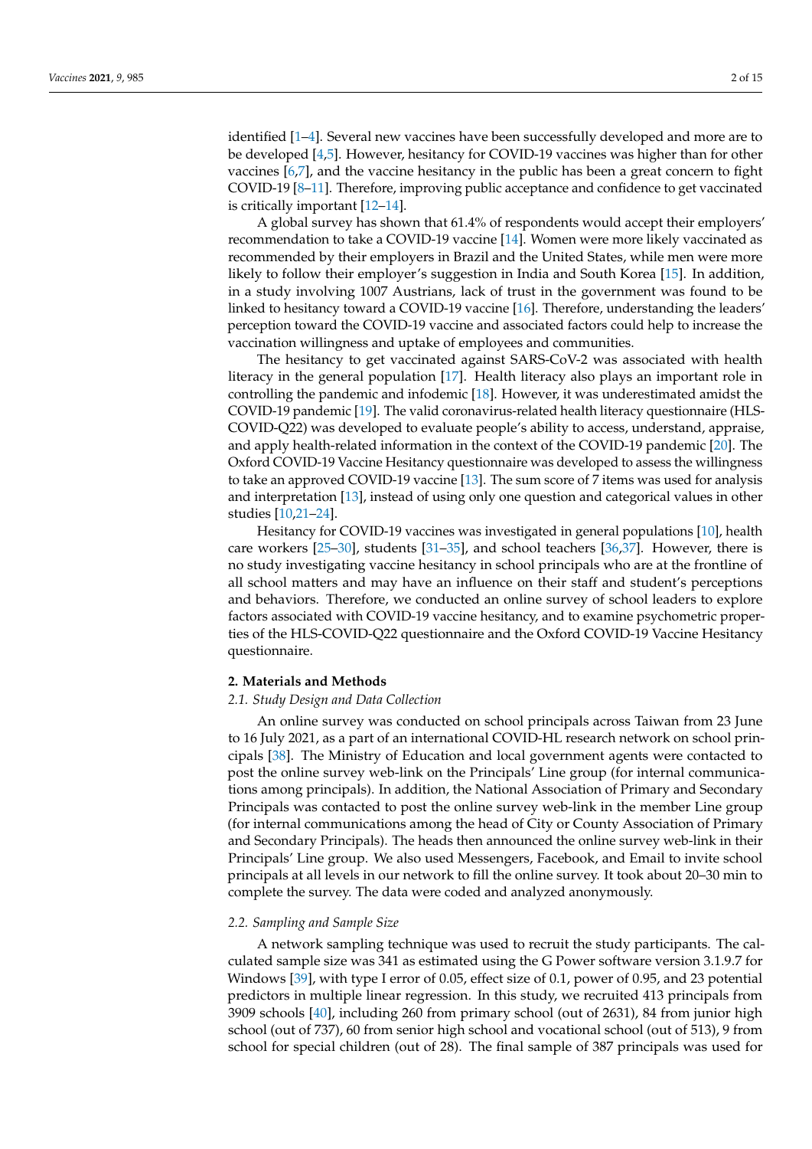identified [\[1](#page-12-0)[–4\]](#page-12-1). Several new vaccines have been successfully developed and more are to be developed [\[4](#page-12-1)[,5\]](#page-12-2). However, hesitancy for COVID-19 vaccines was higher than for other vaccines [\[6,](#page-12-3)[7\]](#page-12-4), and the vaccine hesitancy in the public has been a great concern to fight COVID-19 [\[8](#page-12-5)[–11\]](#page-12-6). Therefore, improving public acceptance and confidence to get vaccinated is critically important [\[12–](#page-12-7)[14\]](#page-12-8).

A global survey has shown that 61.4% of respondents would accept their employers' recommendation to take a COVID-19 vaccine [\[14\]](#page-12-8). Women were more likely vaccinated as recommended by their employers in Brazil and the United States, while men were more likely to follow their employer's suggestion in India and South Korea [\[15\]](#page-12-9). In addition, in a study involving 1007 Austrians, lack of trust in the government was found to be linked to hesitancy toward a COVID-19 vaccine [\[16\]](#page-12-10). Therefore, understanding the leaders' perception toward the COVID-19 vaccine and associated factors could help to increase the vaccination willingness and uptake of employees and communities.

The hesitancy to get vaccinated against SARS-CoV-2 was associated with health literacy in the general population [\[17\]](#page-12-11). Health literacy also plays an important role in controlling the pandemic and infodemic [\[18\]](#page-12-12). However, it was underestimated amidst the COVID-19 pandemic [\[19\]](#page-12-13). The valid coronavirus-related health literacy questionnaire (HLS-COVID-Q22) was developed to evaluate people's ability to access, understand, appraise, and apply health-related information in the context of the COVID-19 pandemic [\[20\]](#page-12-14). The Oxford COVID-19 Vaccine Hesitancy questionnaire was developed to assess the willingness to take an approved COVID-19 vaccine [\[13\]](#page-12-15). The sum score of 7 items was used for analysis and interpretation [\[13\]](#page-12-15), instead of using only one question and categorical values in other studies [\[10](#page-12-16)[,21–](#page-12-17)[24\]](#page-12-18).

Hesitancy for COVID-19 vaccines was investigated in general populations [\[10\]](#page-12-16), health care workers [\[25–](#page-12-19)[30\]](#page-13-0), students [\[31–](#page-13-1)[35\]](#page-13-2), and school teachers [\[36](#page-13-3)[,37\]](#page-13-4). However, there is no study investigating vaccine hesitancy in school principals who are at the frontline of all school matters and may have an influence on their staff and student's perceptions and behaviors. Therefore, we conducted an online survey of school leaders to explore factors associated with COVID-19 vaccine hesitancy, and to examine psychometric properties of the HLS-COVID-Q22 questionnaire and the Oxford COVID-19 Vaccine Hesitancy questionnaire.

#### **2. Materials and Methods**

#### *2.1. Study Design and Data Collection*

An online survey was conducted on school principals across Taiwan from 23 June to 16 July 2021, as a part of an international COVID-HL research network on school principals [\[38\]](#page-13-5). The Ministry of Education and local government agents were contacted to post the online survey web-link on the Principals' Line group (for internal communications among principals). In addition, the National Association of Primary and Secondary Principals was contacted to post the online survey web-link in the member Line group (for internal communications among the head of City or County Association of Primary and Secondary Principals). The heads then announced the online survey web-link in their Principals' Line group. We also used Messengers, Facebook, and Email to invite school principals at all levels in our network to fill the online survey. It took about 20–30 min to complete the survey. The data were coded and analyzed anonymously.

# *2.2. Sampling and Sample Size*

A network sampling technique was used to recruit the study participants. The calculated sample size was 341 as estimated using the G Power software version 3.1.9.7 for Windows [\[39\]](#page-13-6), with type I error of 0.05, effect size of 0.1, power of 0.95, and 23 potential predictors in multiple linear regression. In this study, we recruited 413 principals from 3909 schools [\[40\]](#page-13-7), including 260 from primary school (out of 2631), 84 from junior high school (out of 737), 60 from senior high school and vocational school (out of 513), 9 from school for special children (out of 28). The final sample of 387 principals was used for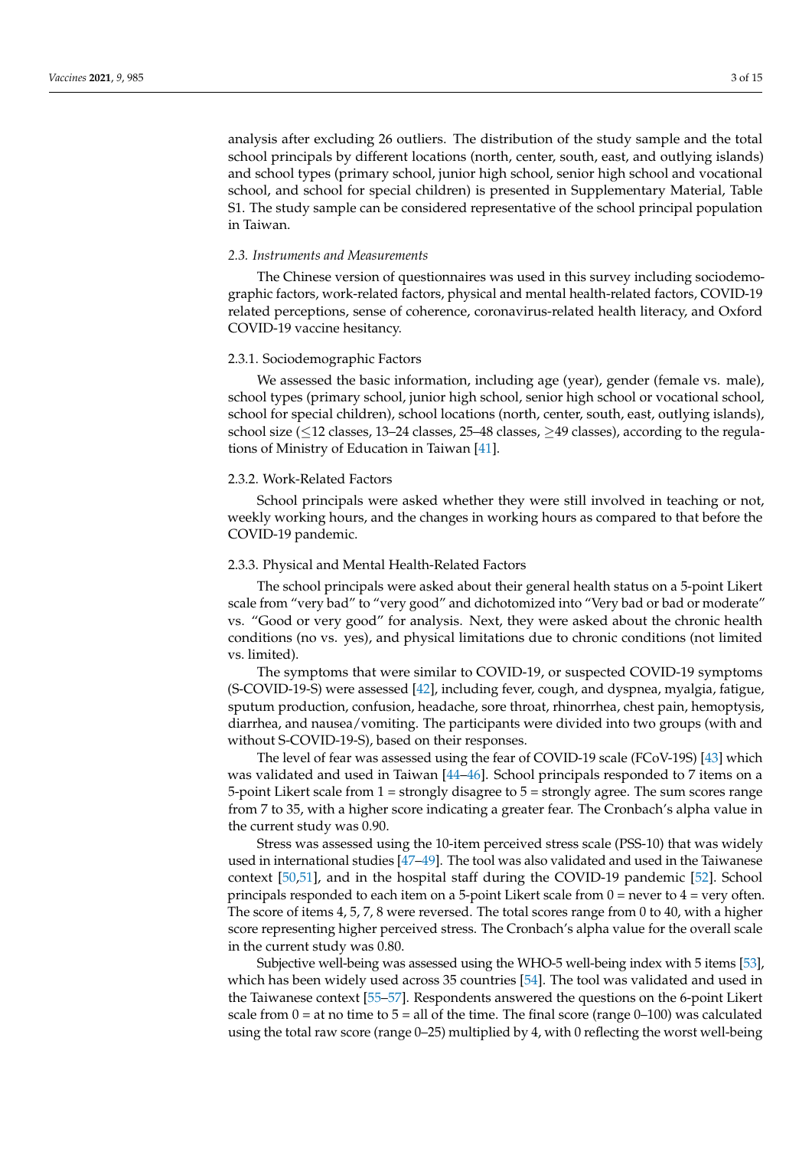analysis after excluding 26 outliers. The distribution of the study sample and the total school principals by different locations (north, center, south, east, and outlying islands) and school types (primary school, junior high school, senior high school and vocational school, and school for special children) is presented in Supplementary Material, Table S1. The study sample can be considered representative of the school principal population in Taiwan.

#### *2.3. Instruments and Measurements*

The Chinese version of questionnaires was used in this survey including sociodemographic factors, work-related factors, physical and mental health-related factors, COVID-19 related perceptions, sense of coherence, coronavirus-related health literacy, and Oxford COVID-19 vaccine hesitancy.

#### 2.3.1. Sociodemographic Factors

We assessed the basic information, including age (year), gender (female vs. male), school types (primary school, junior high school, senior high school or vocational school, school for special children), school locations (north, center, south, east, outlying islands), school size ( $\leq$ 12 classes, 13–24 classes, 25–48 classes,  $\geq$ 49 classes), according to the regulations of Ministry of Education in Taiwan [\[41\]](#page-13-8).

#### 2.3.2. Work-Related Factors

School principals were asked whether they were still involved in teaching or not, weekly working hours, and the changes in working hours as compared to that before the COVID-19 pandemic.

#### 2.3.3. Physical and Mental Health-Related Factors

The school principals were asked about their general health status on a 5-point Likert scale from "very bad" to "very good" and dichotomized into "Very bad or bad or moderate" vs. "Good or very good" for analysis. Next, they were asked about the chronic health conditions (no vs. yes), and physical limitations due to chronic conditions (not limited vs. limited).

The symptoms that were similar to COVID-19, or suspected COVID-19 symptoms (S-COVID-19-S) were assessed [\[42\]](#page-13-9), including fever, cough, and dyspnea, myalgia, fatigue, sputum production, confusion, headache, sore throat, rhinorrhea, chest pain, hemoptysis, diarrhea, and nausea/vomiting. The participants were divided into two groups (with and without S-COVID-19-S), based on their responses.

The level of fear was assessed using the fear of COVID-19 scale (FCoV-19S) [\[43\]](#page-13-10) which was validated and used in Taiwan [\[44](#page-13-11)[–46\]](#page-13-12). School principals responded to 7 items on a 5-point Likert scale from 1 = strongly disagree to 5 = strongly agree. The sum scores range from 7 to 35, with a higher score indicating a greater fear. The Cronbach's alpha value in the current study was 0.90.

Stress was assessed using the 10-item perceived stress scale (PSS-10) that was widely used in international studies [\[47](#page-13-13)[–49\]](#page-13-14). The tool was also validated and used in the Taiwanese context [\[50,](#page-13-15)[51\]](#page-13-16), and in the hospital staff during the COVID-19 pandemic [\[52\]](#page-13-17). School principals responded to each item on a 5-point Likert scale from  $0 =$  never to  $4 =$  very often. The score of items 4, 5, 7, 8 were reversed. The total scores range from 0 to 40, with a higher score representing higher perceived stress. The Cronbach's alpha value for the overall scale in the current study was 0.80.

Subjective well-being was assessed using the WHO-5 well-being index with 5 items [\[53\]](#page-14-0), which has been widely used across 35 countries [\[54\]](#page-14-1). The tool was validated and used in the Taiwanese context [\[55–](#page-14-2)[57\]](#page-14-3). Respondents answered the questions on the 6-point Likert scale from  $0 = at$  no time to  $5 = all$  of the time. The final score (range  $0-100$ ) was calculated using the total raw score (range 0–25) multiplied by 4, with 0 reflecting the worst well-being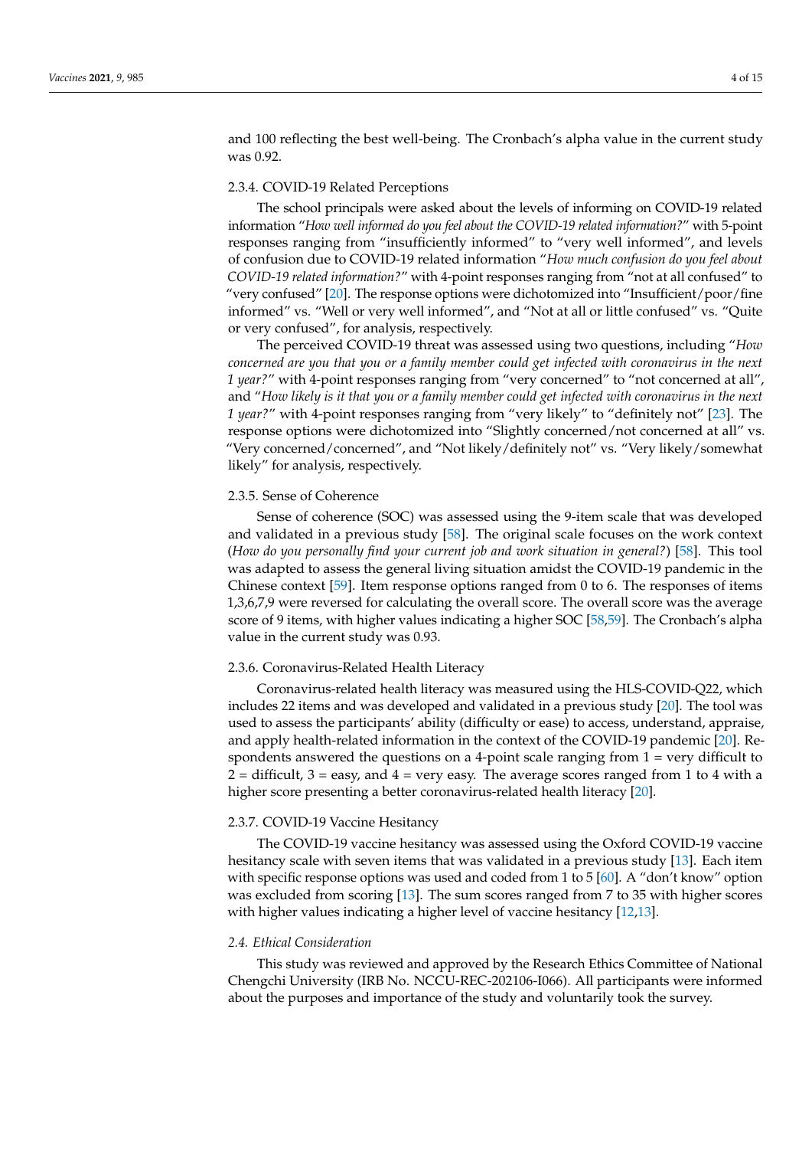and 100 reflecting the best well-being. The Cronbach's alpha value in the current study was 0.92.

## 2.3.4. COVID-19 Related Perceptions

The school principals were asked about the levels of informing on COVID-19 related information "*How well informed do you feel about the COVID-19 related information?*" with 5-point responses ranging from "insufficiently informed" to "very well informed", and levels of confusion due to COVID-19 related information "*How much confusion do you feel about COVID-19 related information?*" with 4-point responses ranging from "not at all confused" to "very confused" [\[20\]](#page-12-14). The response options were dichotomized into "Insufficient/poor/fine informed" vs. "Well or very well informed", and "Not at all or little confused" vs. "Quite or very confused", for analysis, respectively.

The perceived COVID-19 threat was assessed using two questions, including "*How concerned are you that you or a family member could get infected with coronavirus in the next 1 year?*" with 4-point responses ranging from "very concerned" to "not concerned at all", and "*How likely is it that you or a family member could get infected with coronavirus in the next 1 year?*" with 4-point responses ranging from "very likely" to "definitely not" [\[23\]](#page-12-20). The response options were dichotomized into "Slightly concerned/not concerned at all" vs. "Very concerned/concerned", and "Not likely/definitely not" vs. "Very likely/somewhat likely" for analysis, respectively.

#### 2.3.5. Sense of Coherence

Sense of coherence (SOC) was assessed using the 9-item scale that was developed and validated in a previous study [\[58\]](#page-14-4). The original scale focuses on the work context (*How do you personally find your current job and work situation in general?*) [\[58\]](#page-14-4). This tool was adapted to assess the general living situation amidst the COVID-19 pandemic in the Chinese context [\[59\]](#page-14-5). Item response options ranged from 0 to 6. The responses of items 1,3,6,7,9 were reversed for calculating the overall score. The overall score was the average score of 9 items, with higher values indicating a higher SOC [\[58,](#page-14-4)[59\]](#page-14-5). The Cronbach's alpha value in the current study was 0.93.

#### 2.3.6. Coronavirus-Related Health Literacy

Coronavirus-related health literacy was measured using the HLS-COVID-Q22, which includes 22 items and was developed and validated in a previous study [\[20\]](#page-12-14). The tool was used to assess the participants' ability (difficulty or ease) to access, understand, appraise, and apply health-related information in the context of the COVID-19 pandemic [\[20\]](#page-12-14). Respondents answered the questions on a 4-point scale ranging from 1 = very difficult to  $2 =$  difficult,  $3 =$  easy, and  $4 =$  very easy. The average scores ranged from 1 to 4 with a higher score presenting a better coronavirus-related health literacy [\[20\]](#page-12-14).

#### 2.3.7. COVID-19 Vaccine Hesitancy

The COVID-19 vaccine hesitancy was assessed using the Oxford COVID-19 vaccine hesitancy scale with seven items that was validated in a previous study [\[13\]](#page-12-15). Each item with specific response options was used and coded from 1 to 5 [\[60\]](#page-14-6). A "don't know" option was excluded from scoring [\[13\]](#page-12-15). The sum scores ranged from 7 to 35 with higher scores with higher values indicating a higher level of vaccine hesitancy [\[12,](#page-12-7)[13\]](#page-12-15).

#### *2.4. Ethical Consideration*

This study was reviewed and approved by the Research Ethics Committee of National Chengchi University (IRB No. NCCU-REC-202106-I066). All participants were informed about the purposes and importance of the study and voluntarily took the survey.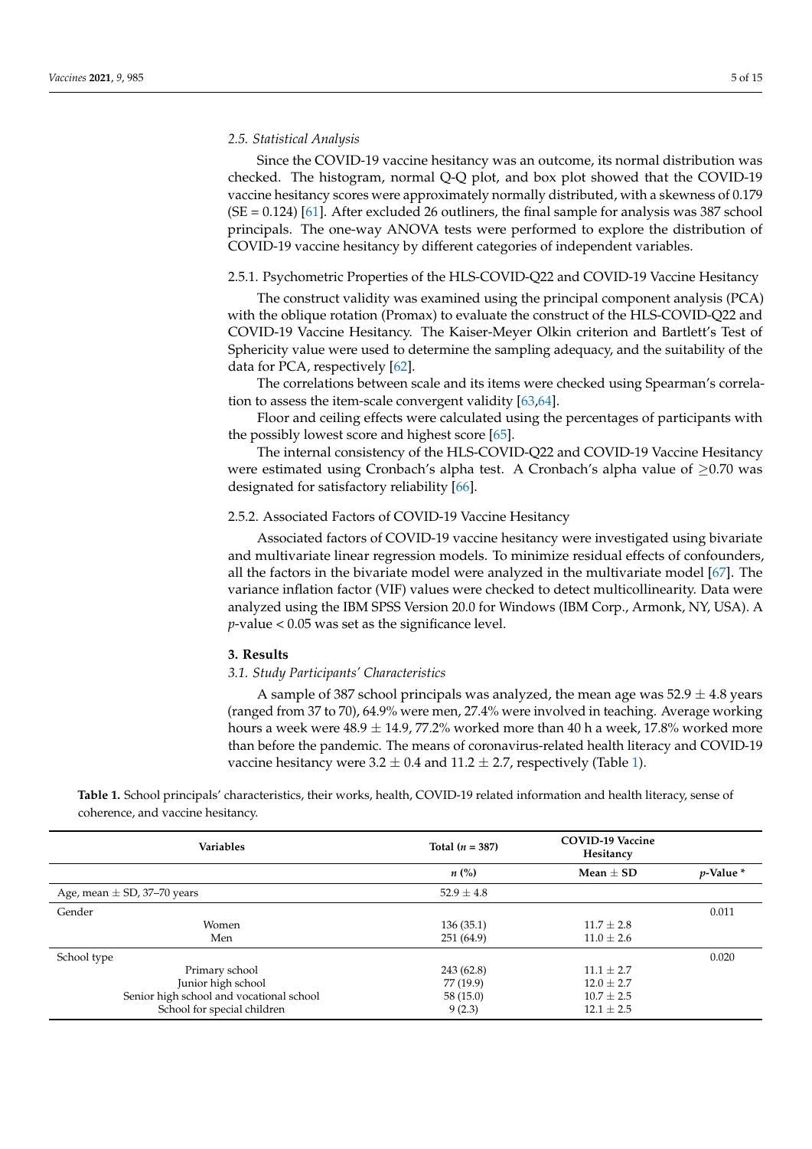# *2.5. Statistical Analysis*

Since the COVID-19 vaccine hesitancy was an outcome, its normal distribution was checked. The histogram, normal Q-Q plot, and box plot showed that the COVID-19 vaccine hesitancy scores were approximately normally distributed, with a skewness of 0.179  $(SE = 0.124)$  [\[61\]](#page-14-7). After excluded 26 outliners, the final sample for analysis was 387 school principals. The one-way ANOVA tests were performed to explore the distribution of COVID-19 vaccine hesitancy by different categories of independent variables.

# 2.5.1. Psychometric Properties of the HLS-COVID-Q22 and COVID-19 Vaccine Hesitancy

The construct validity was examined using the principal component analysis (PCA) with the oblique rotation (Promax) to evaluate the construct of the HLS-COVID-Q22 and COVID-19 Vaccine Hesitancy. The Kaiser-Meyer Olkin criterion and Bartlett's Test of Sphericity value were used to determine the sampling adequacy, and the suitability of the data for PCA, respectively [\[62\]](#page-14-8).

The correlations between scale and its items were checked using Spearman's correlation to assess the item-scale convergent validity [\[63,](#page-14-9)[64\]](#page-14-10).

Floor and ceiling effects were calculated using the percentages of participants with the possibly lowest score and highest score [\[65\]](#page-14-11).

The internal consistency of the HLS-COVID-Q22 and COVID-19 Vaccine Hesitancy were estimated using Cronbach's alpha test. A Cronbach's alpha value of ≥0.70 was designated for satisfactory reliability [\[66\]](#page-14-12).

# 2.5.2. Associated Factors of COVID-19 Vaccine Hesitancy

Associated factors of COVID-19 vaccine hesitancy were investigated using bivariate and multivariate linear regression models. To minimize residual effects of confounders, all the factors in the bivariate model were analyzed in the multivariate model [\[67\]](#page-14-13). The variance inflation factor (VIF) values were checked to detect multicollinearity. Data were analyzed using the IBM SPSS Version 20.0 for Windows (IBM Corp., Armonk, NY, USA). A *p*-value < 0.05 was set as the significance level.

# **3. Results**

#### *3.1. Study Participants' Characteristics*

A sample of 387 school principals was analyzed, the mean age was  $52.9 \pm 4.8$  years (ranged from 37 to 70), 64.9% were men, 27.4% were involved in teaching. Average working hours a week were  $48.9 \pm 14.9$ , 77.2% worked more than 40 h a week, 17.8% worked more than before the pandemic. The means of coronavirus-related health literacy and COVID-19 vaccine hesitancy were  $3.2 \pm 0.4$  and  $11.2 \pm 2.7$ , respectively (Table [1\)](#page-6-0).

**Table 1.** School principals' characteristics, their works, health, COVID-19 related information and health literacy, sense of coherence, and vaccine hesitancy.

| <b>Variables</b>                         | Total $(n = 387)$  | <b>COVID-19 Vaccine</b><br>Hesitancy |                |
|------------------------------------------|--------------------|--------------------------------------|----------------|
|                                          | $n\left(\%\right)$ | Mean $\pm$ SD                        | $p$ -Value $*$ |
| Age, mean $\pm$ SD, 37–70 years          | $52.9 \pm 4.8$     |                                      |                |
| Gender                                   |                    |                                      | 0.011          |
| Women                                    | 136(35.1)          | $11.7 \pm 2.8$                       |                |
| Men                                      | 251 (64.9)         | $11.0 \pm 2.6$                       |                |
| School type                              |                    |                                      | 0.020          |
| Primary school                           | 243 (62.8)         | $11.1 \pm 2.7$                       |                |
| Junior high school                       | 77 (19.9)          | $12.0 \pm 2.7$                       |                |
| Senior high school and vocational school | 58 (15.0)          | $10.7 \pm 2.5$                       |                |
| School for special children              | 9(2.3)             | $12.1 \pm 2.5$                       |                |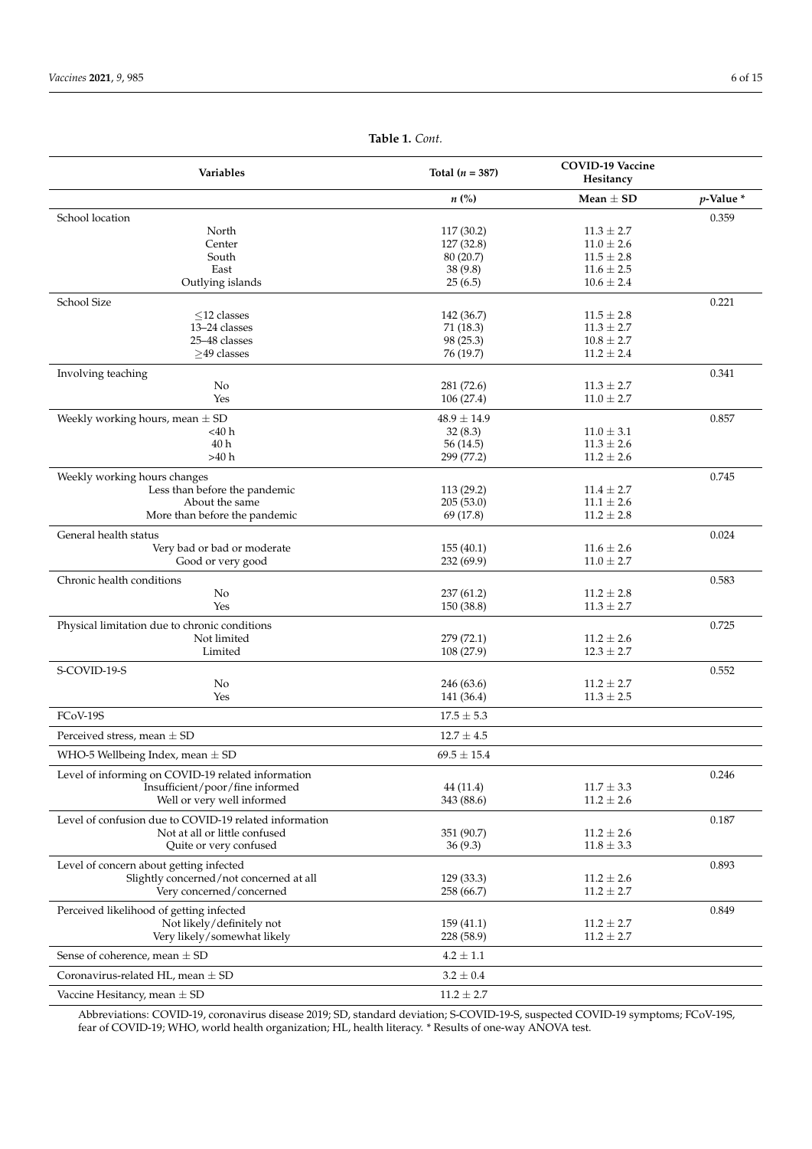<span id="page-6-0"></span>

| Variables                                              | Total $(n = 387)$  | <b>COVID-19 Vaccine</b><br>Hesitancy |              |
|--------------------------------------------------------|--------------------|--------------------------------------|--------------|
|                                                        | $n\left(\%\right)$ | $Mean + SD$                          | $p$ -Value * |
| School location                                        |                    |                                      | 0.359        |
| North                                                  | 117 (30.2)         | $11.3 \pm 2.7$                       |              |
| Center                                                 | 127 (32.8)         | $11.0 \pm 2.6$                       |              |
| South                                                  | 80(20.7)           | $11.5 \pm 2.8$                       |              |
| East                                                   | 38 (9.8)           | $11.6 \pm 2.5$                       |              |
| Outlying islands                                       | 25(6.5)            | $10.6 \pm 2.4$                       |              |
| School Size                                            |                    |                                      | 0.221        |
| $<$ 12 classes                                         | 142 (36.7)         | $11.5\pm2.8$                         |              |
| 13-24 classes                                          | 71(18.3)           | $11.3 \pm 2.7$                       |              |
| 25-48 classes                                          | 98 (25.3)          | $10.8 \pm 2.7$                       |              |
| >49 classes                                            | 76 (19.7)          | $11.2 \pm 2.4$                       |              |
| Involving teaching                                     |                    |                                      | 0.341        |
| No                                                     | 281 (72.6)         | $11.3 \pm 2.7$                       |              |
| Yes                                                    | 106 (27.4)         | $11.0 \pm 2.7$                       |              |
| Weekly working hours, mean $\pm$ SD                    | $48.9 \pm 14.9$    |                                      | 0.857        |
| <40 h                                                  | 32(8.3)            | $11.0 \pm 3.1$                       |              |
| 40h                                                    | 56 (14.5)          | $11.3 \pm 2.6$                       |              |
| >40 h                                                  | 299 (77.2)         | $11.2 \pm 2.6$                       |              |
| Weekly working hours changes                           |                    |                                      | 0.745        |
| Less than before the pandemic                          | 113 (29.2)         | $11.4 \pm 2.7$                       |              |
| About the same                                         | 205(53.0)          | $11.1 \pm 2.6$                       |              |
| More than before the pandemic                          | 69 (17.8)          | $11.2 \pm 2.8$                       |              |
| General health status                                  |                    |                                      | 0.024        |
| Very bad or bad or moderate                            | 155(40.1)          | $11.6 \pm 2.6$                       |              |
| Good or very good                                      | 232 (69.9)         | $11.0 \pm 2.7$                       |              |
| Chronic health conditions                              |                    |                                      | 0.583        |
| No                                                     | 237(61.2)          | $11.2 \pm 2.8$                       |              |
| Yes                                                    | 150 (38.8)         | $11.3 \pm 2.7$                       |              |
| Physical limitation due to chronic conditions          |                    |                                      | 0.725        |
| Not limited                                            | 279 (72.1)         | $11.2 \pm 2.6$                       |              |
| Limited                                                | 108 (27.9)         | $12.3 \pm 2.7$                       |              |
| S-COVID-19-S                                           |                    |                                      | 0.552        |
| No                                                     | 246 (63.6)         | $11.2 \pm 2.7$                       |              |
| Yes                                                    | 141 (36.4)         | $11.3 \pm 2.5$                       |              |
| FCoV-19S                                               | $17.5 \pm 5.3$     |                                      |              |
| Perceived stress, mean $\pm$ SD                        | $12.7 \pm 4.5$     |                                      |              |
|                                                        | $69.5 \pm 15.4$    |                                      |              |
| WHO-5 Wellbeing Index, mean $\pm$ SD                   |                    |                                      |              |
| Level of informing on COVID-19 related information     |                    |                                      | 0.246        |
| Insufficient/poor/fine informed                        | 44(11.4)           | $11.7 \pm 3.3$                       |              |
| Well or very well informed                             | 343 (88.6)         | $11.2 \pm 2.6$                       |              |
| Level of confusion due to COVID-19 related information |                    |                                      | 0.187        |
| Not at all or little confused                          | 351 (90.7)         | $11.2 \pm 2.6$                       |              |
| Quite or very confused                                 | 36(9.3)            | $11.8 \pm 3.3$                       |              |
| Level of concern about getting infected                |                    |                                      | 0.893        |
| Slightly concerned/not concerned at all                | 129(33.3)          | $11.2 \pm 2.6$                       |              |
| Very concerned/concerned                               | 258 (66.7)         | $11.2 \pm 2.7$                       |              |
| Perceived likelihood of getting infected               |                    |                                      | 0.849        |
| Not likely/definitely not                              | 159(41.1)          | $11.2 \pm 2.7$                       |              |
| Very likely/somewhat likely                            | 228 (58.9)         | $11.2 \pm 2.7$                       |              |
| Sense of coherence, mean $\pm$ SD                      | $4.2\pm1.1$        |                                      |              |
| Coronavirus-related HL, mean $\pm$ SD                  | $3.2 \pm 0.4$      |                                      |              |
| Vaccine Hesitancy, mean $\pm$ SD                       | $11.2 \pm 2.7$     |                                      |              |
|                                                        |                    |                                      |              |

**Table 1.** *Cont.*

Abbreviations: COVID-19, coronavirus disease 2019; SD, standard deviation; S-COVID-19-S, suspected COVID-19 symptoms; FCoV-19S, fear of COVID-19; WHO, world health organization; HL, health literacy. \* Results of one-way ANOVA test.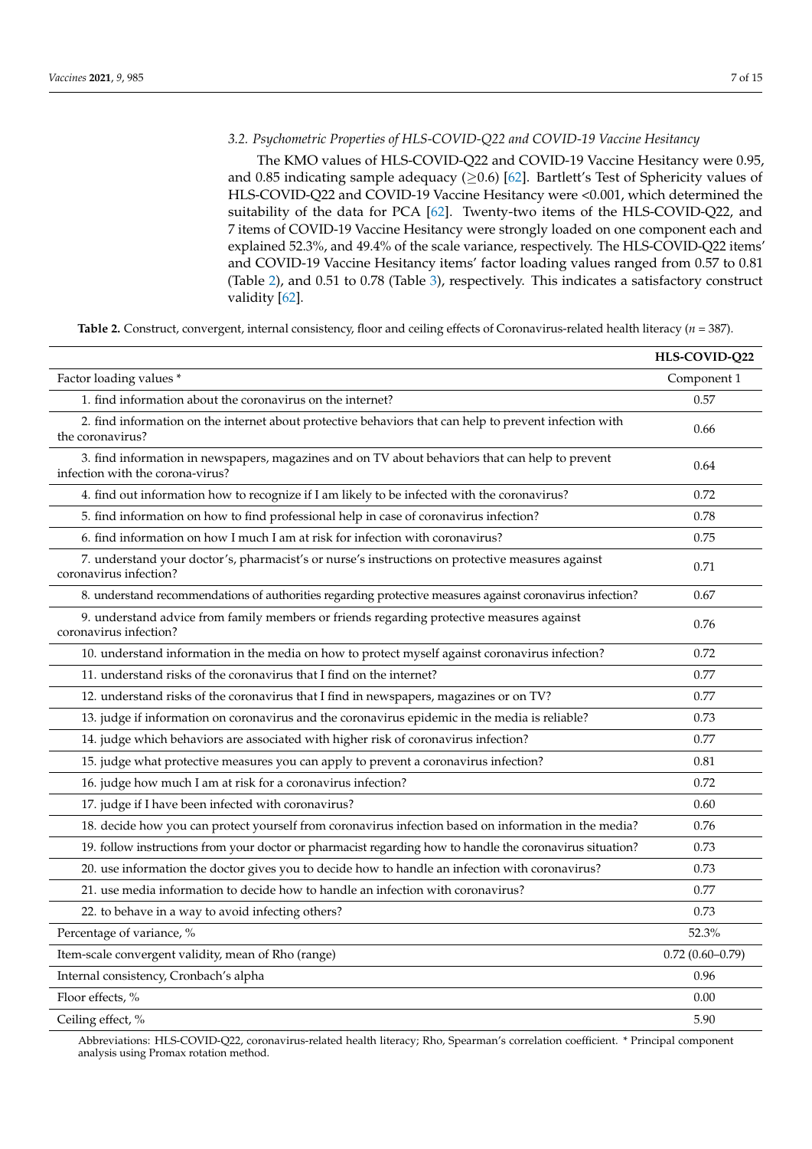# *3.2. Psychometric Properties of HLS-COVID-Q22 and COVID-19 Vaccine Hesitancy*

The KMO values of HLS-COVID-Q22 and COVID-19 Vaccine Hesitancy were 0.95, and 0.85 indicating sample adequacy  $(≥0.6)$  [\[62\]](#page-14-8). Bartlett's Test of Sphericity values of HLS-COVID-Q22 and COVID-19 Vaccine Hesitancy were <0.001, which determined the suitability of the data for PCA [\[62\]](#page-14-8). Twenty-two items of the HLS-COVID-Q22, and 7 items of COVID-19 Vaccine Hesitancy were strongly loaded on one component each and explained 52.3%, and 49.4% of the scale variance, respectively. The HLS-COVID-Q22 items' and COVID-19 Vaccine Hesitancy items' factor loading values ranged from 0.57 to 0.81 (Table [2\)](#page-7-0), and 0.51 to 0.78 (Table [3\)](#page-8-0), respectively. This indicates a satisfactory construct validity [\[62\]](#page-14-8).

<span id="page-7-0"></span>**Table 2.** Construct, convergent, internal consistency, floor and ceiling effects of Coronavirus-related health literacy (*n* = 387).

|                                                                                                                                     | HLS-COVID-Q22       |
|-------------------------------------------------------------------------------------------------------------------------------------|---------------------|
| Factor loading values *                                                                                                             | Component 1         |
| 1. find information about the coronavirus on the internet?                                                                          | 0.57                |
| 2. find information on the internet about protective behaviors that can help to prevent infection with<br>the coronavirus?          | 0.66                |
| 3. find information in newspapers, magazines and on TV about behaviors that can help to prevent<br>infection with the corona-virus? | 0.64                |
| 4. find out information how to recognize if I am likely to be infected with the coronavirus?                                        | 0.72                |
| 5. find information on how to find professional help in case of coronavirus infection?                                              | 0.78                |
| 6. find information on how I much I am at risk for infection with coronavirus?                                                      | 0.75                |
| 7. understand your doctor's, pharmacist's or nurse's instructions on protective measures against<br>coronavirus infection?          | 0.71                |
| 8. understand recommendations of authorities regarding protective measures against coronavirus infection?                           | 0.67                |
| 9. understand advice from family members or friends regarding protective measures against<br>coronavirus infection?                 | 0.76                |
| 10. understand information in the media on how to protect myself against coronavirus infection?                                     | 0.72                |
| 11. understand risks of the coronavirus that I find on the internet?                                                                | 0.77                |
| 12. understand risks of the coronavirus that I find in newspapers, magazines or on TV?                                              | 0.77                |
| 13. judge if information on coronavirus and the coronavirus epidemic in the media is reliable?                                      | 0.73                |
| 14. judge which behaviors are associated with higher risk of coronavirus infection?                                                 | 0.77                |
| 15. judge what protective measures you can apply to prevent a coronavirus infection?                                                | 0.81                |
| 16. judge how much I am at risk for a coronavirus infection?                                                                        | 0.72                |
| 17. judge if I have been infected with coronavirus?                                                                                 | 0.60                |
| 18. decide how you can protect yourself from coronavirus infection based on information in the media?                               | 0.76                |
| 19. follow instructions from your doctor or pharmacist regarding how to handle the coronavirus situation?                           | 0.73                |
| 20. use information the doctor gives you to decide how to handle an infection with coronavirus?                                     | 0.73                |
| 21. use media information to decide how to handle an infection with coronavirus?                                                    | 0.77                |
| 22. to behave in a way to avoid infecting others?                                                                                   | 0.73                |
| Percentage of variance, %                                                                                                           | 52.3%               |
| Item-scale convergent validity, mean of Rho (range)                                                                                 | $0.72(0.60 - 0.79)$ |
| Internal consistency, Cronbach's alpha                                                                                              | 0.96                |
| Floor effects, %                                                                                                                    | 0.00                |
| Ceiling effect, %                                                                                                                   | 5.90                |

Abbreviations: HLS-COVID-Q22, coronavirus-related health literacy; Rho, Spearman's correlation coefficient. \* Principal component analysis using Promax rotation method.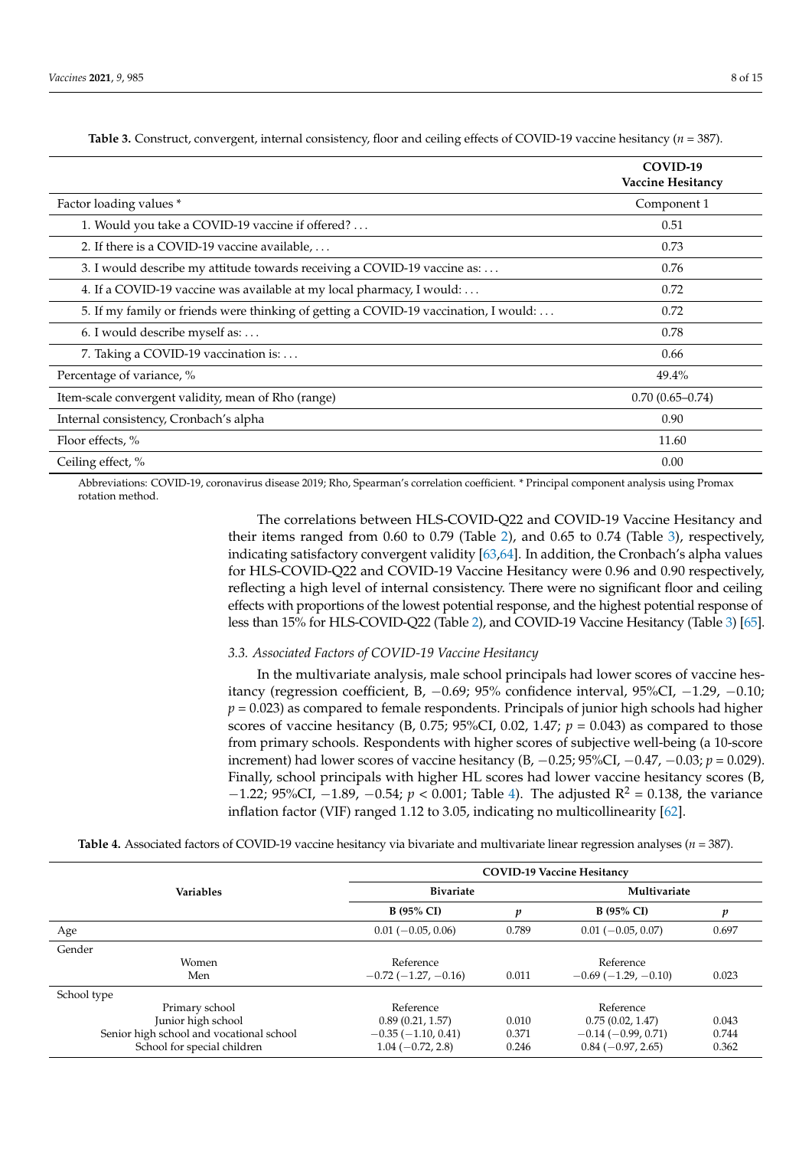<span id="page-8-0"></span>

|                                                                                      | COVID-19<br>Vaccine Hesitancy |
|--------------------------------------------------------------------------------------|-------------------------------|
| Factor loading values *                                                              | Component 1                   |
| 1. Would you take a COVID-19 vaccine if offered?                                     | 0.51                          |
| 2. If there is a COVID-19 vaccine available,                                         | 0.73                          |
| 3. I would describe my attitude towards receiving a COVID-19 vaccine as:             | 0.76                          |
| 4. If a COVID-19 vaccine was available at my local pharmacy, I would:                | 0.72                          |
| 5. If my family or friends were thinking of getting a COVID-19 vaccination, I would: | 0.72                          |
| 6. I would describe myself as:                                                       | 0.78                          |
| 7. Taking a COVID-19 vaccination is:                                                 | 0.66                          |
| Percentage of variance, %                                                            | 49.4%                         |
| Item-scale convergent validity, mean of Rho (range)                                  | $0.70(0.65 - 0.74)$           |
| Internal consistency, Cronbach's alpha                                               | 0.90                          |
| Floor effects, %                                                                     | 11.60                         |
| Ceiling effect, %                                                                    | 0.00                          |

**Table 3.** Construct, convergent, internal consistency, floor and ceiling effects of COVID-19 vaccine hesitancy (*n* = 387).

Abbreviations: COVID-19, coronavirus disease 2019; Rho, Spearman's correlation coefficient. \* Principal component analysis using Promax rotation method.

> The correlations between HLS-COVID-Q22 and COVID-19 Vaccine Hesitancy and their items ranged from 0.60 to 0.79 (Table [2\)](#page-7-0), and 0.65 to 0.74 (Table [3\)](#page-8-0), respectively, indicating satisfactory convergent validity [\[63](#page-14-9)[,64\]](#page-14-10). In addition, the Cronbach's alpha values for HLS-COVID-Q22 and COVID-19 Vaccine Hesitancy were 0.96 and 0.90 respectively, reflecting a high level of internal consistency. There were no significant floor and ceiling effects with proportions of the lowest potential response, and the highest potential response of less than 15% for HLS-COVID-Q22 (Table [2\)](#page-7-0), and COVID-19 Vaccine Hesitancy (Table [3\)](#page-8-0) [\[65\]](#page-14-11).

# *3.3. Associated Factors of COVID-19 Vaccine Hesitancy*

In the multivariate analysis, male school principals had lower scores of vaccine hesitancy (regression coefficient, B,  $-0.69$ ; 95% confidence interval, 95%CI,  $-1.29$ ,  $-0.10$ ;  $p = 0.023$ ) as compared to female respondents. Principals of junior high schools had higher scores of vaccine hesitancy (B, 0.75; 95%CI, 0.02, 1.47;  $p = 0.043$ ) as compared to those from primary schools. Respondents with higher scores of subjective well-being (a 10-score increment) had lower scores of vaccine hesitancy (B, −0.25; 95%CI, −0.47, −0.03; *p* = 0.029). Finally, school principals with higher HL scores had lower vaccine hesitancy scores (B,  $-1.22$ ; 95%CI,  $-1.89$ ,  $-0.54$ ;  $p < 0.001$ ; Table [4\)](#page-9-0). The adjusted R<sup>2</sup> = 0.138, the variance inflation factor (VIF) ranged 1.12 to 3.05, indicating no multicollinearity [\[62\]](#page-14-8).

**Table 4.** Associated factors of COVID-19 vaccine hesitancy via bivariate and multivariate linear regression analyses (*n* = 387).

|                                          | <b>COVID-19 Vaccine Hesitancy</b> |       |                      |       |
|------------------------------------------|-----------------------------------|-------|----------------------|-------|
| <b>Variables</b>                         | <b>Bivariate</b>                  |       | Multivariate         |       |
|                                          | <b>B</b> (95% CI)                 | n     | <b>B</b> (95% CI)    |       |
| Age                                      | $0.01 (-0.05, 0.06)$              | 0.789 | $0.01 (-0.05, 0.07)$ | 0.697 |
| Gender                                   |                                   |       |                      |       |
| Women                                    | Reference                         |       | Reference            |       |
| Men                                      | $-0.72(-1.27, -0.16)$             | 0.011 | $-0.69(-1.29,-0.10)$ | 0.023 |
| School type                              |                                   |       |                      |       |
| Primary school                           | Reference                         |       | Reference            |       |
| Junior high school                       | 0.89(0.21, 1.57)                  | 0.010 | 0.75(0.02, 1.47)     | 0.043 |
| Senior high school and vocational school | $-0.35(-1.10, 0.41)$              | 0.371 | $-0.14(-0.99, 0.71)$ | 0.744 |
| School for special children              | $1.04 (-0.72, 2.8)$               | 0.246 | $0.84(-0.97, 2.65)$  | 0.362 |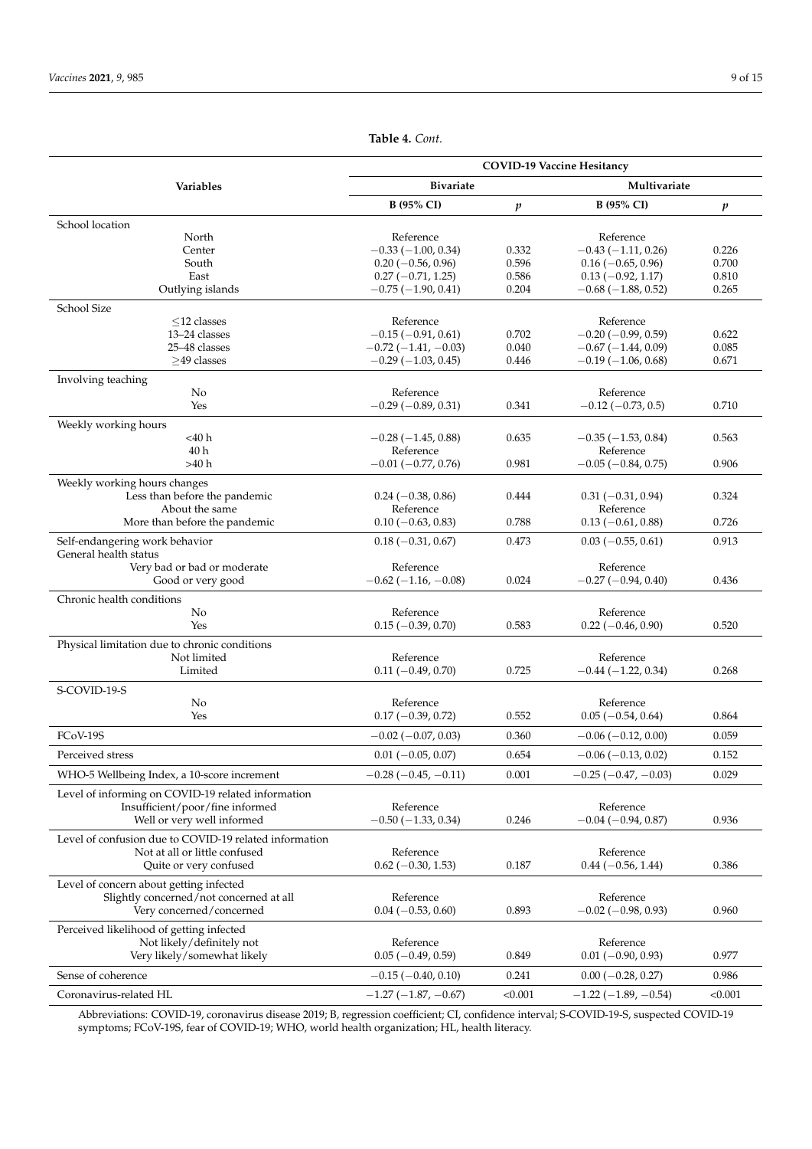<span id="page-9-0"></span>

|                                                                                    | <b>COVID-19 Vaccine Hesitancy</b>          |                  |                                   |         |  |
|------------------------------------------------------------------------------------|--------------------------------------------|------------------|-----------------------------------|---------|--|
| Variables                                                                          | <b>Bivariate</b>                           |                  | Multivariate                      |         |  |
|                                                                                    | B (95% CI)                                 | $\boldsymbol{p}$ | B (95% CI)                        | p       |  |
| School location                                                                    |                                            |                  |                                   |         |  |
| North                                                                              | Reference                                  |                  | Reference                         |         |  |
| Center                                                                             | $-0.33(-1.00, 0.34)$                       | 0.332            | $-0.43(-1.11, 0.26)$              | 0.226   |  |
| South                                                                              | $0.20 (-0.56, 0.96)$                       | 0.596            | $0.16 (-0.65, 0.96)$              | 0.700   |  |
| East                                                                               | $0.27(-0.71, 1.25)$                        | 0.586            | $0.13 (-0.92, 1.17)$              | 0.810   |  |
| Outlying islands                                                                   | $-0.75(-1.90, 0.41)$                       | 0.204            | $-0.68(-1.88, 0.52)$              | 0.265   |  |
| School Size                                                                        |                                            |                  |                                   |         |  |
| $\leq$ 12 classes                                                                  | Reference                                  |                  | Reference                         |         |  |
| 13-24 classes                                                                      | $-0.15(-0.91, 0.61)$                       | 0.702            | $-0.20$ ( $-0.99$ , 0.59)         | 0.622   |  |
| 25-48 classes                                                                      | $-0.72(-1.41,-0.03)$                       | 0.040            | $-0.67(-1.44, 0.09)$              | 0.085   |  |
| $>49$ classes                                                                      | $-0.29(-1.03, 0.45)$                       | 0.446            | $-0.19(-1.06, 0.68)$              | 0.671   |  |
| Involving teaching                                                                 |                                            |                  |                                   |         |  |
| No                                                                                 | Reference                                  |                  | Reference                         |         |  |
| Yes                                                                                | $-0.29(-0.89, 0.31)$                       | 0.341            | $-0.12$ ( $-0.73$ , 0.5)          | 0.710   |  |
| Weekly working hours                                                               |                                            |                  |                                   |         |  |
| $<$ 40 $h$                                                                         | $-0.28(-1.45, 0.88)$                       | 0.635            | $-0.35(-1.53, 0.84)$              | 0.563   |  |
| 40 h                                                                               | Reference                                  |                  | Reference                         |         |  |
| >40 h                                                                              | $-0.01$ $(-0.77, 0.76)$                    | 0.981            | $-0.05$ ( $-0.84$ , 0.75)         | 0.906   |  |
| Weekly working hours changes                                                       |                                            |                  |                                   |         |  |
| Less than before the pandemic                                                      | $0.24 (-0.38, 0.86)$                       | 0.444            | $0.31 (-0.31, 0.94)$              | 0.324   |  |
| About the same                                                                     | Reference                                  |                  | Reference                         |         |  |
| More than before the pandemic                                                      | $0.10 (-0.63, 0.83)$                       | 0.788            | $0.13 (-0.61, 0.88)$              | 0.726   |  |
| Self-endangering work behavior                                                     | $0.18(-0.31, 0.67)$                        | 0.473            | $0.03(-0.55, 0.61)$               | 0.913   |  |
| General health status                                                              |                                            |                  |                                   |         |  |
| Very bad or bad or moderate                                                        | Reference<br>$-0.62$ ( $-1.16$ , $-0.08$ ) | 0.024            | Reference                         | 0.436   |  |
| Good or very good                                                                  |                                            |                  | $-0.27(-0.94, 0.40)$              |         |  |
| Chronic health conditions                                                          |                                            |                  |                                   |         |  |
| No<br>Yes                                                                          | Reference<br>$0.15(-0.39, 0.70)$           | 0.583            | Reference<br>$0.22 (-0.46, 0.90)$ | 0.520   |  |
|                                                                                    |                                            |                  |                                   |         |  |
| Physical limitation due to chronic conditions                                      |                                            |                  |                                   |         |  |
| Not limited                                                                        | Reference                                  |                  | Reference                         |         |  |
| Limited                                                                            | $0.11 (-0.49, 0.70)$                       | 0.725            | $-0.44 (-1.22, 0.34)$             | 0.268   |  |
| S-COVID-19-S                                                                       |                                            |                  |                                   |         |  |
| No                                                                                 | Reference                                  |                  | Reference                         |         |  |
| Yes                                                                                | $0.17(-0.39, 0.72)$                        | 0.552            | $0.05(-0.54, 0.64)$               | 0.864   |  |
| FCoV-19S                                                                           | $-0.02$ ( $-0.07$ , 0.03)                  | 0.360            | $-0.06$ ( $-0.12$ , 0.00)         | 0.059   |  |
| Perceived stress                                                                   | $0.01 (-0.05, 0.07)$                       | 0.654            | $-0.06$ ( $-0.13$ , 0.02)         | 0.152   |  |
| WHO-5 Wellbeing Index, a 10-score increment                                        | $-0.28(-0.45,-0.11)$                       | 0.001            | $-0.25$ ( $-0.47$ , $-0.03$ )     | 0.029   |  |
| Level of informing on COVID-19 related information                                 |                                            |                  |                                   |         |  |
| Insufficient/poor/fine informed                                                    | Reference                                  |                  | Reference                         |         |  |
| Well or very well informed                                                         | $-0.50$ ( $-1.33$ , 0.34)                  | 0.246            | $-0.04(-0.94, 0.87)$              | 0.936   |  |
| Level of confusion due to COVID-19 related information                             |                                            |                  |                                   |         |  |
| Not at all or little confused                                                      | Reference                                  |                  | Reference                         |         |  |
| Quite or very confused                                                             | $0.62$ (-0.30, 1.53)                       | 0.187            | $0.44 (-0.56, 1.44)$              | 0.386   |  |
|                                                                                    |                                            |                  |                                   |         |  |
| Level of concern about getting infected<br>Slightly concerned/not concerned at all | Reference                                  |                  | Reference                         |         |  |
| Very concerned/concerned                                                           | $0.04 (-0.53, 0.60)$                       | 0.893            | $-0.02$ ( $-0.98$ , 0.93)         | 0.960   |  |
|                                                                                    |                                            |                  |                                   |         |  |
| Perceived likelihood of getting infected                                           |                                            |                  | Reference                         |         |  |
| Not likely/definitely not                                                          | Reference                                  | 0.849            |                                   |         |  |
| Very likely/somewhat likely                                                        | $0.05 (-0.49, 0.59)$                       |                  | $0.01 (-0.90, 0.93)$              | 0.977   |  |
| Sense of coherence                                                                 | $-0.15(-0.40, 0.10)$                       | 0.241            | $0.00 (-0.28, 0.27)$              | 0.986   |  |
| Coronavirus-related HL                                                             | $-1.27(-1.87,-0.67)$                       | < 0.001          | $-1.22(-1.89, -0.54)$             | < 0.001 |  |

**Table 4.** *Cont.*

Abbreviations: COVID-19, coronavirus disease 2019; B, regression coefficient; CI, confidence interval; S-COVID-19-S, suspected COVID-19 symptoms; FCoV-19S, fear of COVID-19; WHO, world health organization; HL, health literacy.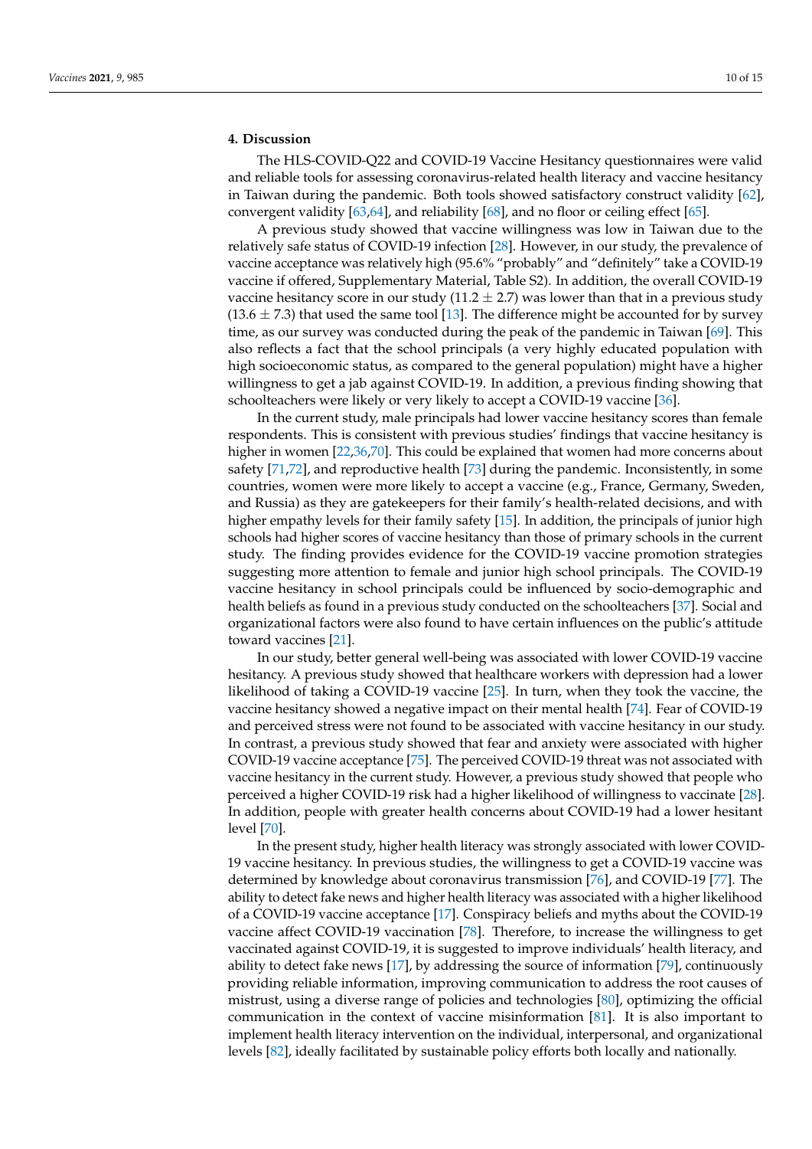# **4. Discussion**

The HLS-COVID-Q22 and COVID-19 Vaccine Hesitancy questionnaires were valid and reliable tools for assessing coronavirus-related health literacy and vaccine hesitancy in Taiwan during the pandemic. Both tools showed satisfactory construct validity [\[62\]](#page-14-8), convergent validity [\[63](#page-14-9)[,64\]](#page-14-10), and reliability [\[68\]](#page-14-14), and no floor or ceiling effect [\[65\]](#page-14-11).

A previous study showed that vaccine willingness was low in Taiwan due to the relatively safe status of COVID-19 infection [\[28\]](#page-13-18). However, in our study, the prevalence of vaccine acceptance was relatively high (95.6% "probably" and "definitely" take a COVID-19 vaccine if offered, Supplementary Material, Table S2). In addition, the overall COVID-19 vaccine hesitancy score in our study  $(11.2 \pm 2.7)$  was lower than that in a previous study  $(13.6 \pm 7.3)$  that used the same tool [\[13\]](#page-12-15). The difference might be accounted for by survey time, as our survey was conducted during the peak of the pandemic in Taiwan [\[69\]](#page-14-15). This also reflects a fact that the school principals (a very highly educated population with high socioeconomic status, as compared to the general population) might have a higher willingness to get a jab against COVID-19. In addition, a previous finding showing that schoolteachers were likely or very likely to accept a COVID-19 vaccine [\[36\]](#page-13-3).

In the current study, male principals had lower vaccine hesitancy scores than female respondents. This is consistent with previous studies' findings that vaccine hesitancy is higher in women [\[22](#page-12-21)[,36](#page-13-3)[,70\]](#page-14-16). This could be explained that women had more concerns about safety [\[71](#page-14-17)[,72\]](#page-14-18), and reproductive health [\[73\]](#page-14-19) during the pandemic. Inconsistently, in some countries, women were more likely to accept a vaccine (e.g., France, Germany, Sweden, and Russia) as they are gatekeepers for their family's health-related decisions, and with higher empathy levels for their family safety [\[15\]](#page-12-9). In addition, the principals of junior high schools had higher scores of vaccine hesitancy than those of primary schools in the current study. The finding provides evidence for the COVID-19 vaccine promotion strategies suggesting more attention to female and junior high school principals. The COVID-19 vaccine hesitancy in school principals could be influenced by socio-demographic and health beliefs as found in a previous study conducted on the schoolteachers [\[37\]](#page-13-4). Social and organizational factors were also found to have certain influences on the public's attitude toward vaccines [\[21\]](#page-12-17).

In our study, better general well-being was associated with lower COVID-19 vaccine hesitancy. A previous study showed that healthcare workers with depression had a lower likelihood of taking a COVID-19 vaccine [\[25\]](#page-12-19). In turn, when they took the vaccine, the vaccine hesitancy showed a negative impact on their mental health [\[74\]](#page-14-20). Fear of COVID-19 and perceived stress were not found to be associated with vaccine hesitancy in our study. In contrast, a previous study showed that fear and anxiety were associated with higher COVID-19 vaccine acceptance [\[75\]](#page-14-21). The perceived COVID-19 threat was not associated with vaccine hesitancy in the current study. However, a previous study showed that people who perceived a higher COVID-19 risk had a higher likelihood of willingness to vaccinate [\[28\]](#page-13-18). In addition, people with greater health concerns about COVID-19 had a lower hesitant level [\[70\]](#page-14-16).

In the present study, higher health literacy was strongly associated with lower COVID-19 vaccine hesitancy. In previous studies, the willingness to get a COVID-19 vaccine was determined by knowledge about coronavirus transmission [\[76\]](#page-14-22), and COVID-19 [\[77\]](#page-14-23). The ability to detect fake news and higher health literacy was associated with a higher likelihood of a COVID-19 vaccine acceptance [\[17\]](#page-12-11). Conspiracy beliefs and myths about the COVID-19 vaccine affect COVID-19 vaccination [\[78\]](#page-14-24). Therefore, to increase the willingness to get vaccinated against COVID-19, it is suggested to improve individuals' health literacy, and ability to detect fake news [\[17\]](#page-12-11), by addressing the source of information [\[79\]](#page-14-25), continuously providing reliable information, improving communication to address the root causes of mistrust, using a diverse range of policies and technologies [\[80\]](#page-15-0), optimizing the official communication in the context of vaccine misinformation [\[81\]](#page-15-1). It is also important to implement health literacy intervention on the individual, interpersonal, and organizational levels [\[82\]](#page-15-2), ideally facilitated by sustainable policy efforts both locally and nationally.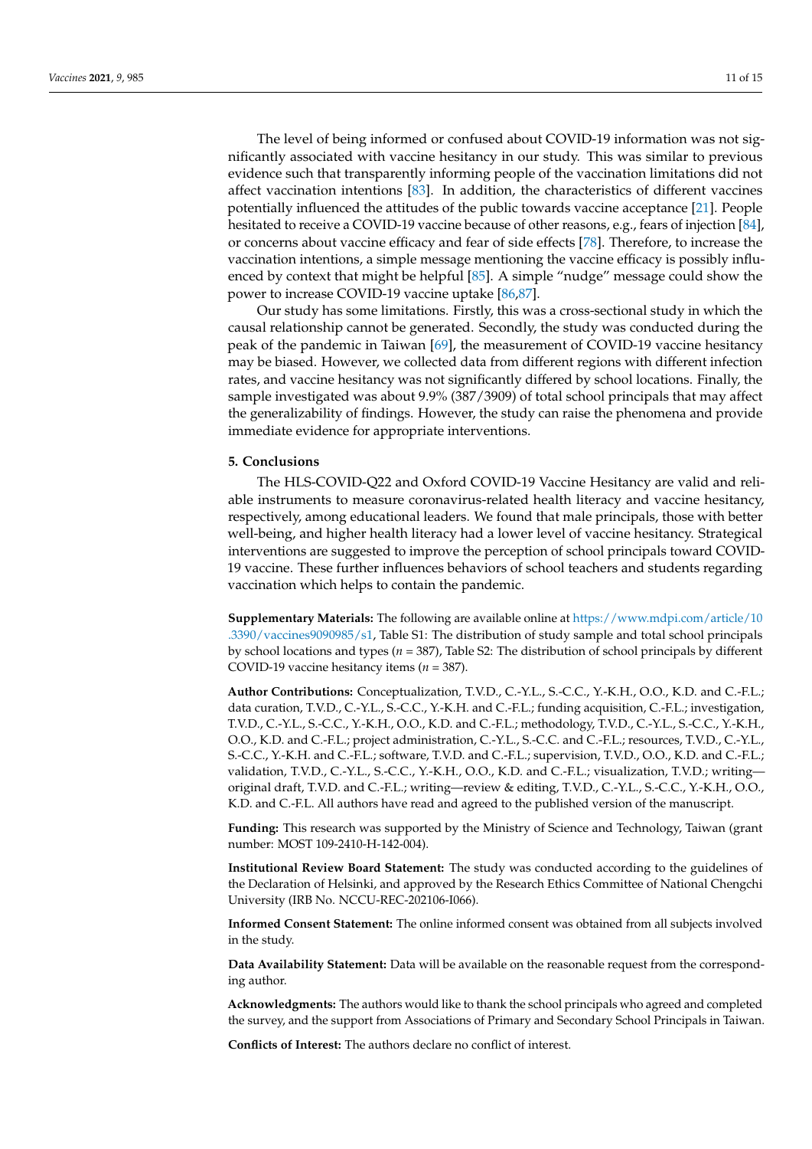The level of being informed or confused about COVID-19 information was not significantly associated with vaccine hesitancy in our study. This was similar to previous evidence such that transparently informing people of the vaccination limitations did not affect vaccination intentions [\[83\]](#page-15-3). In addition, the characteristics of different vaccines potentially influenced the attitudes of the public towards vaccine acceptance [\[21\]](#page-12-17). People hesitated to receive a COVID-19 vaccine because of other reasons, e.g., fears of injection [\[84\]](#page-15-4), or concerns about vaccine efficacy and fear of side effects [\[78\]](#page-14-24). Therefore, to increase the vaccination intentions, a simple message mentioning the vaccine efficacy is possibly influenced by context that might be helpful [\[85\]](#page-15-5). A simple "nudge" message could show the power to increase COVID-19 vaccine uptake [\[86](#page-15-6)[,87\]](#page-15-7).

Our study has some limitations. Firstly, this was a cross-sectional study in which the causal relationship cannot be generated. Secondly, the study was conducted during the peak of the pandemic in Taiwan [\[69\]](#page-14-15), the measurement of COVID-19 vaccine hesitancy may be biased. However, we collected data from different regions with different infection rates, and vaccine hesitancy was not significantly differed by school locations. Finally, the sample investigated was about 9.9% (387/3909) of total school principals that may affect the generalizability of findings. However, the study can raise the phenomena and provide immediate evidence for appropriate interventions.

#### **5. Conclusions**

The HLS-COVID-Q22 and Oxford COVID-19 Vaccine Hesitancy are valid and reliable instruments to measure coronavirus-related health literacy and vaccine hesitancy, respectively, among educational leaders. We found that male principals, those with better well-being, and higher health literacy had a lower level of vaccine hesitancy. Strategical interventions are suggested to improve the perception of school principals toward COVID-19 vaccine. These further influences behaviors of school teachers and students regarding vaccination which helps to contain the pandemic.

**Supplementary Materials:** The following are available online at [https://www.mdpi.com/article/10](https://www.mdpi.com/article/10.3390/vaccines9090985/s1) [.3390/vaccines9090985/s1,](https://www.mdpi.com/article/10.3390/vaccines9090985/s1) Table S1: The distribution of study sample and total school principals by school locations and types (*n* = 387), Table S2: The distribution of school principals by different COVID-19 vaccine hesitancy items (*n* = 387).

**Author Contributions:** Conceptualization, T.V.D., C.-Y.L., S.-C.C., Y.-K.H., O.O., K.D. and C.-F.L.; data curation, T.V.D., C.-Y.L., S.-C.C., Y.-K.H. and C.-F.L.; funding acquisition, C.-F.L.; investigation, T.V.D., C.-Y.L., S.-C.C., Y.-K.H., O.O., K.D. and C.-F.L.; methodology, T.V.D., C.-Y.L., S.-C.C., Y.-K.H., O.O., K.D. and C.-F.L.; project administration, C.-Y.L., S.-C.C. and C.-F.L.; resources, T.V.D., C.-Y.L., S.-C.C., Y.-K.H. and C.-F.L.; software, T.V.D. and C.-F.L.; supervision, T.V.D., O.O., K.D. and C.-F.L.; validation, T.V.D., C.-Y.L., S.-C.C., Y.-K.H., O.O., K.D. and C.-F.L.; visualization, T.V.D.; writing original draft, T.V.D. and C.-F.L.; writing—review & editing, T.V.D., C.-Y.L., S.-C.C., Y.-K.H., O.O., K.D. and C.-F.L. All authors have read and agreed to the published version of the manuscript.

**Funding:** This research was supported by the Ministry of Science and Technology, Taiwan (grant number: MOST 109-2410-H-142-004).

**Institutional Review Board Statement:** The study was conducted according to the guidelines of the Declaration of Helsinki, and approved by the Research Ethics Committee of National Chengchi University (IRB No. NCCU-REC-202106-I066).

**Informed Consent Statement:** The online informed consent was obtained from all subjects involved in the study.

**Data Availability Statement:** Data will be available on the reasonable request from the corresponding author.

**Acknowledgments:** The authors would like to thank the school principals who agreed and completed the survey, and the support from Associations of Primary and Secondary School Principals in Taiwan.

**Conflicts of Interest:** The authors declare no conflict of interest.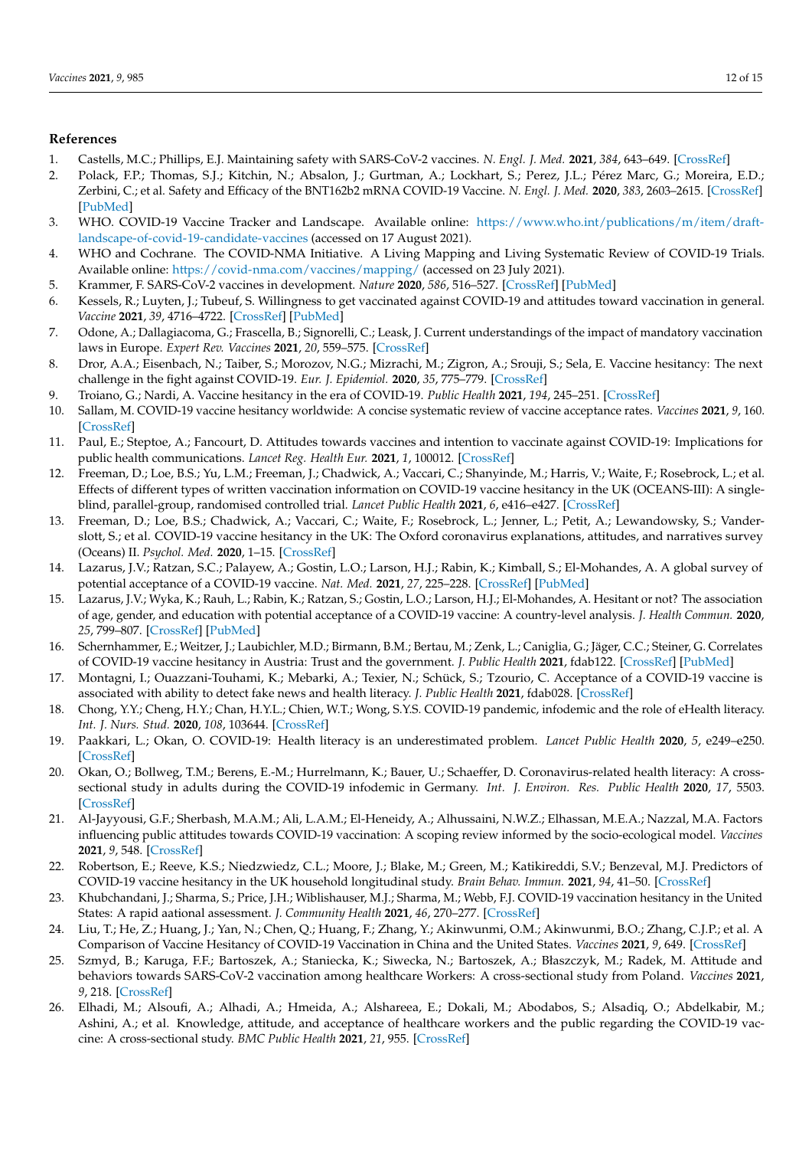# **References**

- <span id="page-12-0"></span>1. Castells, M.C.; Phillips, E.J. Maintaining safety with SARS-CoV-2 vaccines. *N. Engl. J. Med.* **2021**, *384*, 643–649. [\[CrossRef\]](http://doi.org/10.1056/NEJMra2035343)
- 2. Polack, F.P.; Thomas, S.J.; Kitchin, N.; Absalon, J.; Gurtman, A.; Lockhart, S.; Perez, J.L.; Pérez Marc, G.; Moreira, E.D.; Zerbini, C.; et al. Safety and Efficacy of the BNT162b2 mRNA COVID-19 Vaccine. *N. Engl. J. Med.* **2020**, *383*, 2603–2615. [\[CrossRef\]](http://doi.org/10.1056/NEJMoa2034577) [\[PubMed\]](http://www.ncbi.nlm.nih.gov/pubmed/33301246)
- 3. WHO. COVID-19 Vaccine Tracker and Landscape. Available online: [https://www.who.int/publications/m/item/draft](https://www.who.int/publications/m/item/draft-landscape-of-covid-19-candidate-vaccines)[landscape-of-covid-19-candidate-vaccines](https://www.who.int/publications/m/item/draft-landscape-of-covid-19-candidate-vaccines) (accessed on 17 August 2021).
- <span id="page-12-1"></span>4. WHO and Cochrane. The COVID-NMA Initiative. A Living Mapping and Living Systematic Review of COVID-19 Trials. Available online: <https://covid-nma.com/vaccines/mapping/> (accessed on 23 July 2021).
- <span id="page-12-2"></span>5. Krammer, F. SARS-CoV-2 vaccines in development. *Nature* **2020**, *586*, 516–527. [\[CrossRef\]](http://doi.org/10.1038/s41586-020-2798-3) [\[PubMed\]](http://www.ncbi.nlm.nih.gov/pubmed/32967006)
- <span id="page-12-3"></span>6. Kessels, R.; Luyten, J.; Tubeuf, S. Willingness to get vaccinated against COVID-19 and attitudes toward vaccination in general. *Vaccine* **2021**, *39*, 4716–4722. [\[CrossRef\]](http://doi.org/10.1016/j.vaccine.2021.05.069) [\[PubMed\]](http://www.ncbi.nlm.nih.gov/pubmed/34119349)
- <span id="page-12-4"></span>7. Odone, A.; Dallagiacoma, G.; Frascella, B.; Signorelli, C.; Leask, J. Current understandings of the impact of mandatory vaccination laws in Europe. *Expert Rev. Vaccines* **2021**, *20*, 559–575. [\[CrossRef\]](http://doi.org/10.1080/14760584.2021.1912603)
- <span id="page-12-5"></span>8. Dror, A.A.; Eisenbach, N.; Taiber, S.; Morozov, N.G.; Mizrachi, M.; Zigron, A.; Srouji, S.; Sela, E. Vaccine hesitancy: The next challenge in the fight against COVID-19. *Eur. J. Epidemiol.* **2020**, *35*, 775–779. [\[CrossRef\]](http://doi.org/10.1007/s10654-020-00671-y)
- 9. Troiano, G.; Nardi, A. Vaccine hesitancy in the era of COVID-19. *Public Health* **2021**, *194*, 245–251. [\[CrossRef\]](http://doi.org/10.1016/j.puhe.2021.02.025)
- <span id="page-12-16"></span>10. Sallam, M. COVID-19 vaccine hesitancy worldwide: A concise systematic review of vaccine acceptance rates. *Vaccines* **2021**, *9*, 160. [\[CrossRef\]](http://doi.org/10.3390/vaccines9020160)
- <span id="page-12-6"></span>11. Paul, E.; Steptoe, A.; Fancourt, D. Attitudes towards vaccines and intention to vaccinate against COVID-19: Implications for public health communications. *Lancet Reg. Health Eur.* **2021**, *1*, 100012. [\[CrossRef\]](http://doi.org/10.1016/j.lanepe.2020.100012)
- <span id="page-12-7"></span>12. Freeman, D.; Loe, B.S.; Yu, L.M.; Freeman, J.; Chadwick, A.; Vaccari, C.; Shanyinde, M.; Harris, V.; Waite, F.; Rosebrock, L.; et al. Effects of different types of written vaccination information on COVID-19 vaccine hesitancy in the UK (OCEANS-III): A singleblind, parallel-group, randomised controlled trial. *Lancet Public Health* **2021**, *6*, e416–e427. [\[CrossRef\]](http://doi.org/10.1016/S2468-2667(21)00096-7)
- <span id="page-12-15"></span>13. Freeman, D.; Loe, B.S.; Chadwick, A.; Vaccari, C.; Waite, F.; Rosebrock, L.; Jenner, L.; Petit, A.; Lewandowsky, S.; Vanderslott, S.; et al. COVID-19 vaccine hesitancy in the UK: The Oxford coronavirus explanations, attitudes, and narratives survey (Oceans) II. *Psychol. Med.* **2020**, 1–15. [\[CrossRef\]](http://doi.org/10.1017/S0033291720005188)
- <span id="page-12-8"></span>14. Lazarus, J.V.; Ratzan, S.C.; Palayew, A.; Gostin, L.O.; Larson, H.J.; Rabin, K.; Kimball, S.; El-Mohandes, A. A global survey of potential acceptance of a COVID-19 vaccine. *Nat. Med.* **2021**, *27*, 225–228. [\[CrossRef\]](http://doi.org/10.1038/s41591-020-1124-9) [\[PubMed\]](http://www.ncbi.nlm.nih.gov/pubmed/33082575)
- <span id="page-12-9"></span>15. Lazarus, J.V.; Wyka, K.; Rauh, L.; Rabin, K.; Ratzan, S.; Gostin, L.O.; Larson, H.J.; El-Mohandes, A. Hesitant or not? The association of age, gender, and education with potential acceptance of a COVID-19 vaccine: A country-level analysis. *J. Health Commun.* **2020**, *25*, 799–807. [\[CrossRef\]](http://doi.org/10.1080/10810730.2020.1868630) [\[PubMed\]](http://www.ncbi.nlm.nih.gov/pubmed/33719881)
- <span id="page-12-10"></span>16. Schernhammer, E.; Weitzer, J.; Laubichler, M.D.; Birmann, B.M.; Bertau, M.; Zenk, L.; Caniglia, G.; Jäger, C.C.; Steiner, G. Correlates of COVID-19 vaccine hesitancy in Austria: Trust and the government. *J. Public Health* **2021**, fdab122. [\[CrossRef\]](http://doi.org/10.1093/pubmed/fdab122) [\[PubMed\]](http://www.ncbi.nlm.nih.gov/pubmed/33948665)
- <span id="page-12-11"></span>17. Montagni, I.; Ouazzani-Touhami, K.; Mebarki, A.; Texier, N.; Schück, S.; Tzourio, C. Acceptance of a COVID-19 vaccine is associated with ability to detect fake news and health literacy. *J. Public Health* **2021**, fdab028. [\[CrossRef\]](http://doi.org/10.1093/pubmed/fdab028)
- <span id="page-12-12"></span>18. Chong, Y.Y.; Cheng, H.Y.; Chan, H.Y.L.; Chien, W.T.; Wong, S.Y.S. COVID-19 pandemic, infodemic and the role of eHealth literacy. *Int. J. Nurs. Stud.* **2020**, *108*, 103644. [\[CrossRef\]](http://doi.org/10.1016/j.ijnurstu.2020.103644)
- <span id="page-12-13"></span>19. Paakkari, L.; Okan, O. COVID-19: Health literacy is an underestimated problem. *Lancet Public Health* **2020**, *5*, e249–e250. [\[CrossRef\]](http://doi.org/10.1016/S2468-2667(20)30086-4)
- <span id="page-12-14"></span>20. Okan, O.; Bollweg, T.M.; Berens, E.-M.; Hurrelmann, K.; Bauer, U.; Schaeffer, D. Coronavirus-related health literacy: A crosssectional study in adults during the COVID-19 infodemic in Germany. *Int. J. Environ. Res. Public Health* **2020**, *17*, 5503. [\[CrossRef\]](http://doi.org/10.3390/ijerph17155503)
- <span id="page-12-17"></span>21. Al-Jayyousi, G.F.; Sherbash, M.A.M.; Ali, L.A.M.; El-Heneidy, A.; Alhussaini, N.W.Z.; Elhassan, M.E.A.; Nazzal, M.A. Factors influencing public attitudes towards COVID-19 vaccination: A scoping review informed by the socio-ecological model. *Vaccines* **2021**, *9*, 548. [\[CrossRef\]](http://doi.org/10.3390/vaccines9060548)
- <span id="page-12-21"></span>22. Robertson, E.; Reeve, K.S.; Niedzwiedz, C.L.; Moore, J.; Blake, M.; Green, M.; Katikireddi, S.V.; Benzeval, M.J. Predictors of COVID-19 vaccine hesitancy in the UK household longitudinal study. *Brain Behav. Immun.* **2021**, *94*, 41–50. [\[CrossRef\]](http://doi.org/10.1016/j.bbi.2021.03.008)
- <span id="page-12-20"></span>23. Khubchandani, J.; Sharma, S.; Price, J.H.; Wiblishauser, M.J.; Sharma, M.; Webb, F.J. COVID-19 vaccination hesitancy in the United States: A rapid aational assessment. *J. Community Health* **2021**, *46*, 270–277. [\[CrossRef\]](http://doi.org/10.1007/s10900-020-00958-x)
- <span id="page-12-18"></span>24. Liu, T.; He, Z.; Huang, J.; Yan, N.; Chen, Q.; Huang, F.; Zhang, Y.; Akinwunmi, O.M.; Akinwunmi, B.O.; Zhang, C.J.P.; et al. A Comparison of Vaccine Hesitancy of COVID-19 Vaccination in China and the United States. *Vaccines* **2021**, *9*, 649. [\[CrossRef\]](http://doi.org/10.3390/vaccines9060649)
- <span id="page-12-19"></span>25. Szmyd, B.; Karuga, F.F.; Bartoszek, A.; Staniecka, K.; Siwecka, N.; Bartoszek, A.; Błaszczyk, M.; Radek, M. Attitude and behaviors towards SARS-CoV-2 vaccination among healthcare Workers: A cross-sectional study from Poland. *Vaccines* **2021**, *9*, 218. [\[CrossRef\]](http://doi.org/10.3390/vaccines9030218)
- 26. Elhadi, M.; Alsoufi, A.; Alhadi, A.; Hmeida, A.; Alshareea, E.; Dokali, M.; Abodabos, S.; Alsadiq, O.; Abdelkabir, M.; Ashini, A.; et al. Knowledge, attitude, and acceptance of healthcare workers and the public regarding the COVID-19 vaccine: A cross-sectional study. *BMC Public Health* **2021**, *21*, 955. [\[CrossRef\]](http://doi.org/10.1186/s12889-021-10987-3)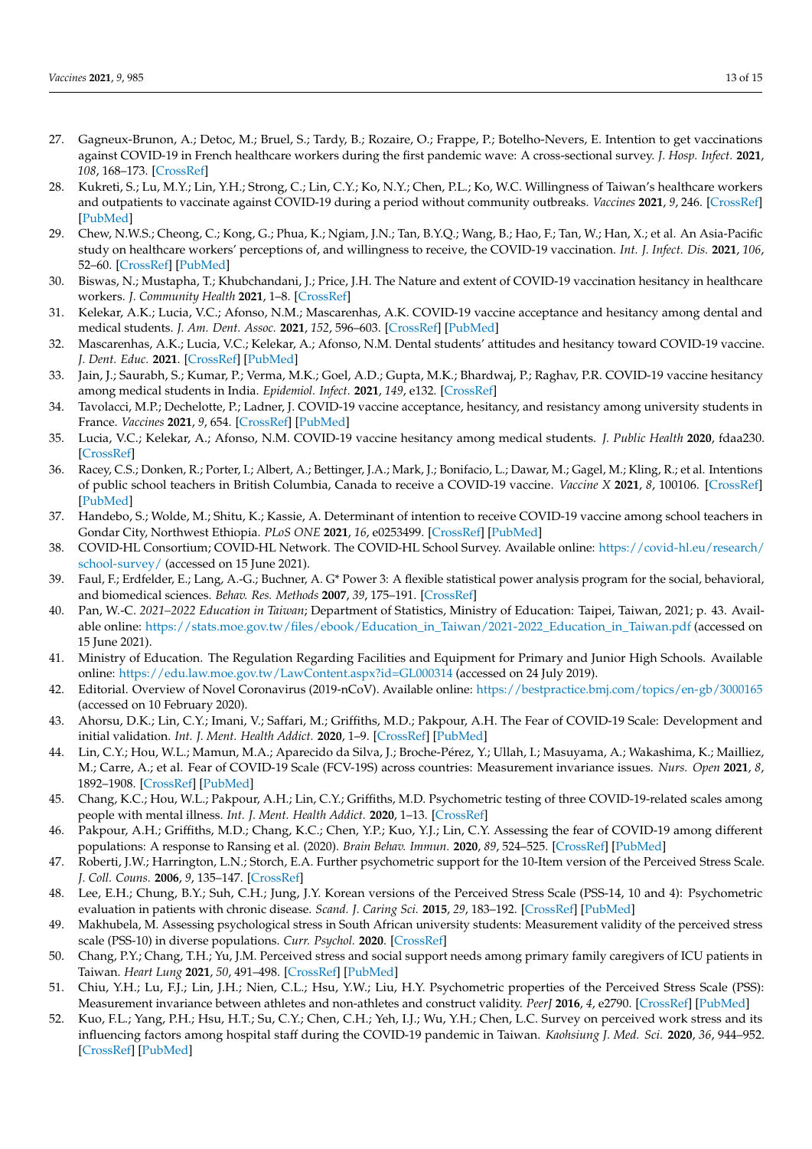- 27. Gagneux-Brunon, A.; Detoc, M.; Bruel, S.; Tardy, B.; Rozaire, O.; Frappe, P.; Botelho-Nevers, E. Intention to get vaccinations against COVID-19 in French healthcare workers during the first pandemic wave: A cross-sectional survey. *J. Hosp. Infect.* **2021**, *108*, 168–173. [\[CrossRef\]](http://doi.org/10.1016/j.jhin.2020.11.020)
- <span id="page-13-18"></span>28. Kukreti, S.; Lu, M.Y.; Lin, Y.H.; Strong, C.; Lin, C.Y.; Ko, N.Y.; Chen, P.L.; Ko, W.C. Willingness of Taiwan's healthcare workers and outpatients to vaccinate against COVID-19 during a period without community outbreaks. *Vaccines* **2021**, *9*, 246. [\[CrossRef\]](http://doi.org/10.3390/vaccines9030246) [\[PubMed\]](http://www.ncbi.nlm.nih.gov/pubmed/33808950)
- 29. Chew, N.W.S.; Cheong, C.; Kong, G.; Phua, K.; Ngiam, J.N.; Tan, B.Y.Q.; Wang, B.; Hao, F.; Tan, W.; Han, X.; et al. An Asia-Pacific study on healthcare workers' perceptions of, and willingness to receive, the COVID-19 vaccination. *Int. J. Infect. Dis.* **2021**, *106*, 52–60. [\[CrossRef\]](http://doi.org/10.1016/j.ijid.2021.03.069) [\[PubMed\]](http://www.ncbi.nlm.nih.gov/pubmed/33781902)
- <span id="page-13-0"></span>30. Biswas, N.; Mustapha, T.; Khubchandani, J.; Price, J.H. The Nature and extent of COVID-19 vaccination hesitancy in healthcare workers. *J. Community Health* **2021**, 1–8. [\[CrossRef\]](http://doi.org/10.1007/s10900-021-00984-3)
- <span id="page-13-1"></span>31. Kelekar, A.K.; Lucia, V.C.; Afonso, N.M.; Mascarenhas, A.K. COVID-19 vaccine acceptance and hesitancy among dental and medical students. *J. Am. Dent. Assoc.* **2021**, *152*, 596–603. [\[CrossRef\]](http://doi.org/10.1016/j.adaj.2021.03.006) [\[PubMed\]](http://www.ncbi.nlm.nih.gov/pubmed/34030867)
- 32. Mascarenhas, A.K.; Lucia, V.C.; Kelekar, A.; Afonso, N.M. Dental students' attitudes and hesitancy toward COVID-19 vaccine. *J. Dent. Educ.* **2021**. [\[CrossRef\]](http://doi.org/10.1002/jdd.12632) [\[PubMed\]](http://www.ncbi.nlm.nih.gov/pubmed/33913152)
- 33. Jain, J.; Saurabh, S.; Kumar, P.; Verma, M.K.; Goel, A.D.; Gupta, M.K.; Bhardwaj, P.; Raghav, P.R. COVID-19 vaccine hesitancy among medical students in India. *Epidemiol. Infect.* **2021**, *149*, e132. [\[CrossRef\]](http://doi.org/10.1017/S0950268821001205)
- 34. Tavolacci, M.P.; Dechelotte, P.; Ladner, J. COVID-19 vaccine acceptance, hesitancy, and resistancy among university students in France. *Vaccines* **2021**, *9*, 654. [\[CrossRef\]](http://doi.org/10.3390/vaccines9060654) [\[PubMed\]](http://www.ncbi.nlm.nih.gov/pubmed/34203847)
- <span id="page-13-2"></span>35. Lucia, V.C.; Kelekar, A.; Afonso, N.M. COVID-19 vaccine hesitancy among medical students. *J. Public Health* **2020**, fdaa230. [\[CrossRef\]](http://doi.org/10.1093/pubmed/fdaa230)
- <span id="page-13-3"></span>36. Racey, C.S.; Donken, R.; Porter, I.; Albert, A.; Bettinger, J.A.; Mark, J.; Bonifacio, L.; Dawar, M.; Gagel, M.; Kling, R.; et al. Intentions of public school teachers in British Columbia, Canada to receive a COVID-19 vaccine. *Vaccine X* **2021**, *8*, 100106. [\[CrossRef\]](http://doi.org/10.1016/j.jvacx.2021.100106) [\[PubMed\]](http://www.ncbi.nlm.nih.gov/pubmed/34222854)
- <span id="page-13-4"></span>37. Handebo, S.; Wolde, M.; Shitu, K.; Kassie, A. Determinant of intention to receive COVID-19 vaccine among school teachers in Gondar City, Northwest Ethiopia. *PLoS ONE* **2021**, *16*, e0253499. [\[CrossRef\]](http://doi.org/10.1371/journal.pone.0253499) [\[PubMed\]](http://www.ncbi.nlm.nih.gov/pubmed/34166399)
- <span id="page-13-5"></span>38. COVID-HL Consortium; COVID-HL Network. The COVID-HL School Survey. Available online: [https://covid-hl.eu/research/](https://covid-hl.eu/research/school-survey/) [school-survey/](https://covid-hl.eu/research/school-survey/) (accessed on 15 June 2021).
- <span id="page-13-6"></span>39. Faul, F.; Erdfelder, E.; Lang, A.-G.; Buchner, A. G\* Power 3: A flexible statistical power analysis program for the social, behavioral, and biomedical sciences. *Behav. Res. Methods* **2007**, *39*, 175–191. [\[CrossRef\]](http://doi.org/10.3758/BF03193146)
- <span id="page-13-7"></span>40. Pan, W.-C. *2021–2022 Education in Taiwan*; Department of Statistics, Ministry of Education: Taipei, Taiwan, 2021; p. 43. Available online: [https://stats.moe.gov.tw/files/ebook/Education\\_in\\_Taiwan/2021-2022\\_Education\\_in\\_Taiwan.pdf](https://stats.moe.gov.tw/files/ebook/Education_in_Taiwan/2021-2022_Education_in_Taiwan.pdf) (accessed on 15 June 2021).
- <span id="page-13-8"></span>41. Ministry of Education. The Regulation Regarding Facilities and Equipment for Primary and Junior High Schools. Available online: <https://edu.law.moe.gov.tw/LawContent.aspx?id=GL000314> (accessed on 24 July 2019).
- <span id="page-13-9"></span>42. Editorial. Overview of Novel Coronavirus (2019-nCoV). Available online: <https://bestpractice.bmj.com/topics/en-gb/3000165> (accessed on 10 February 2020).
- <span id="page-13-10"></span>43. Ahorsu, D.K.; Lin, C.Y.; Imani, V.; Saffari, M.; Griffiths, M.D.; Pakpour, A.H. The Fear of COVID-19 Scale: Development and initial validation. *Int. J. Ment. Health Addict.* **2020**, 1–9. [\[CrossRef\]](http://doi.org/10.1007/s11469-020-00270-8) [\[PubMed\]](http://www.ncbi.nlm.nih.gov/pubmed/32226353)
- <span id="page-13-11"></span>44. Lin, C.Y.; Hou, W.L.; Mamun, M.A.; Aparecido da Silva, J.; Broche-Pérez, Y.; Ullah, I.; Masuyama, A.; Wakashima, K.; Mailliez, M.; Carre, A.; et al. Fear of COVID-19 Scale (FCV-19S) across countries: Measurement invariance issues. *Nurs. Open* **2021**, *8*, 1892–1908. [\[CrossRef\]](http://doi.org/10.1002/nop2.855) [\[PubMed\]](http://www.ncbi.nlm.nih.gov/pubmed/33745219)
- 45. Chang, K.C.; Hou, W.L.; Pakpour, A.H.; Lin, C.Y.; Griffiths, M.D. Psychometric testing of three COVID-19-related scales among people with mental illness. *Int. J. Ment. Health Addict.* **2020**, 1–13. [\[CrossRef\]](http://doi.org/10.1007/s11469-020-00361-6)
- <span id="page-13-12"></span>46. Pakpour, A.H.; Griffiths, M.D.; Chang, K.C.; Chen, Y.P.; Kuo, Y.J.; Lin, C.Y. Assessing the fear of COVID-19 among different populations: A response to Ransing et al. (2020). *Brain Behav. Immun.* **2020**, *89*, 524–525. [\[CrossRef\]](http://doi.org/10.1016/j.bbi.2020.06.006) [\[PubMed\]](http://www.ncbi.nlm.nih.gov/pubmed/32512132)
- <span id="page-13-13"></span>47. Roberti, J.W.; Harrington, L.N.; Storch, E.A. Further psychometric support for the 10-Item version of the Perceived Stress Scale. *J. Coll. Couns.* **2006**, *9*, 135–147. [\[CrossRef\]](http://doi.org/10.1002/j.2161-1882.2006.tb00100.x)
- 48. Lee, E.H.; Chung, B.Y.; Suh, C.H.; Jung, J.Y. Korean versions of the Perceived Stress Scale (PSS-14, 10 and 4): Psychometric evaluation in patients with chronic disease. *Scand. J. Caring Sci.* **2015**, *29*, 183–192. [\[CrossRef\]](http://doi.org/10.1111/scs.12131) [\[PubMed\]](http://www.ncbi.nlm.nih.gov/pubmed/24660854)
- <span id="page-13-14"></span>49. Makhubela, M. Assessing psychological stress in South African university students: Measurement validity of the perceived stress scale (PSS-10) in diverse populations. *Curr. Psychol.* **2020**. [\[CrossRef\]](http://doi.org/10.1007/s12144-020-00784-3)
- <span id="page-13-15"></span>50. Chang, P.Y.; Chang, T.H.; Yu, J.M. Perceived stress and social support needs among primary family caregivers of ICU patients in Taiwan. *Heart Lung* **2021**, *50*, 491–498. [\[CrossRef\]](http://doi.org/10.1016/j.hrtlng.2021.03.001) [\[PubMed\]](http://www.ncbi.nlm.nih.gov/pubmed/33831701)
- <span id="page-13-16"></span>51. Chiu, Y.H.; Lu, F.J.; Lin, J.H.; Nien, C.L.; Hsu, Y.W.; Liu, H.Y. Psychometric properties of the Perceived Stress Scale (PSS): Measurement invariance between athletes and non-athletes and construct validity. *PeerJ* **2016**, *4*, e2790. [\[CrossRef\]](http://doi.org/10.7717/peerj.2790) [\[PubMed\]](http://www.ncbi.nlm.nih.gov/pubmed/27994983)
- <span id="page-13-17"></span>52. Kuo, F.L.; Yang, P.H.; Hsu, H.T.; Su, C.Y.; Chen, C.H.; Yeh, I.J.; Wu, Y.H.; Chen, L.C. Survey on perceived work stress and its influencing factors among hospital staff during the COVID-19 pandemic in Taiwan. *Kaohsiung J. Med. Sci.* **2020**, *36*, 944–952. [\[CrossRef\]](http://doi.org/10.1002/kjm2.12294) [\[PubMed\]](http://www.ncbi.nlm.nih.gov/pubmed/32815248)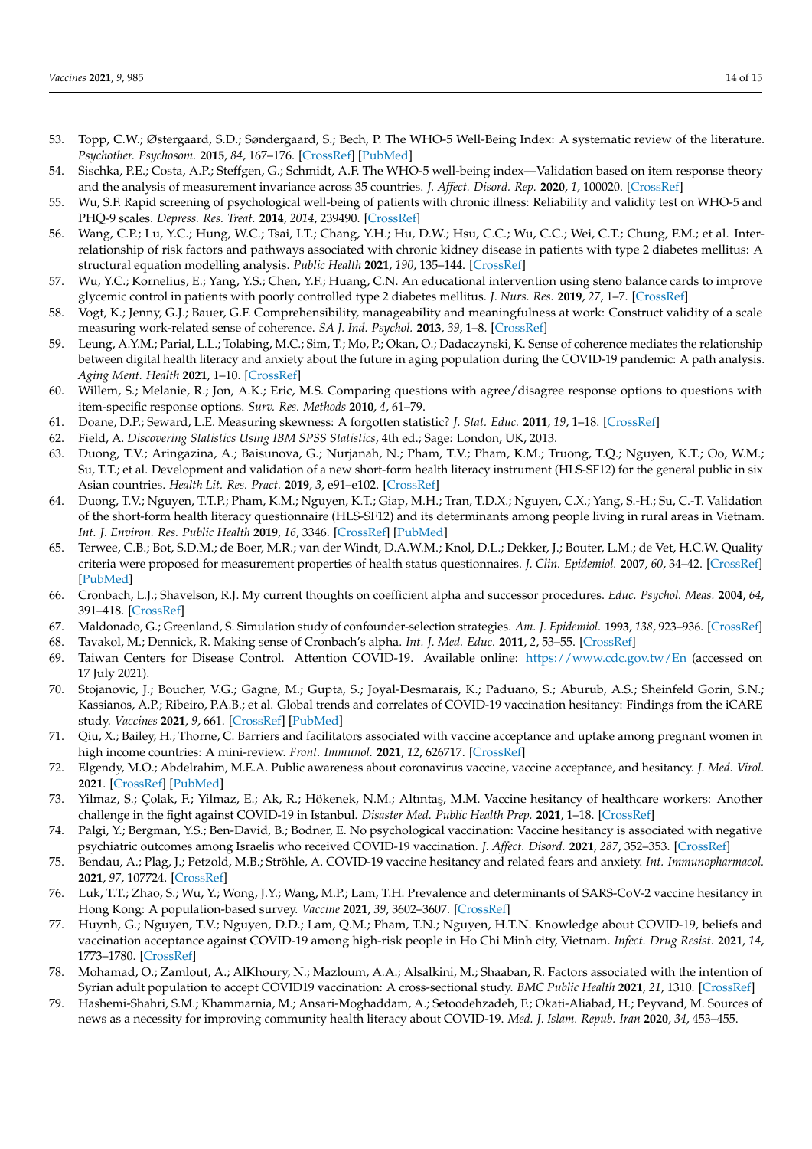- <span id="page-14-0"></span>53. Topp, C.W.; Østergaard, S.D.; Søndergaard, S.; Bech, P. The WHO-5 Well-Being Index: A systematic review of the literature. *Psychother. Psychosom.* **2015**, *84*, 167–176. [\[CrossRef\]](http://doi.org/10.1159/000376585) [\[PubMed\]](http://www.ncbi.nlm.nih.gov/pubmed/25831962)
- <span id="page-14-1"></span>54. Sischka, P.E.; Costa, A.P.; Steffgen, G.; Schmidt, A.F. The WHO-5 well-being index—Validation based on item response theory and the analysis of measurement invariance across 35 countries. *J. Affect. Disord. Rep.* **2020**, *1*, 100020. [\[CrossRef\]](http://doi.org/10.1016/j.jadr.2020.100020)
- <span id="page-14-2"></span>55. Wu, S.F. Rapid screening of psychological well-being of patients with chronic illness: Reliability and validity test on WHO-5 and PHQ-9 scales. *Depress. Res. Treat.* **2014**, *2014*, 239490. [\[CrossRef\]](http://doi.org/10.1155/2014/239490)
- 56. Wang, C.P.; Lu, Y.C.; Hung, W.C.; Tsai, I.T.; Chang, Y.H.; Hu, D.W.; Hsu, C.C.; Wu, C.C.; Wei, C.T.; Chung, F.M.; et al. Interrelationship of risk factors and pathways associated with chronic kidney disease in patients with type 2 diabetes mellitus: A structural equation modelling analysis. *Public Health* **2021**, *190*, 135–144. [\[CrossRef\]](http://doi.org/10.1016/j.puhe.2020.02.007)
- <span id="page-14-3"></span>57. Wu, Y.C.; Kornelius, E.; Yang, Y.S.; Chen, Y.F.; Huang, C.N. An educational intervention using steno balance cards to improve glycemic control in patients with poorly controlled type 2 diabetes mellitus. *J. Nurs. Res.* **2019**, *27*, 1–7. [\[CrossRef\]](http://doi.org/10.1097/jnr.0000000000000275)
- <span id="page-14-4"></span>58. Vogt, K.; Jenny, G.J.; Bauer, G.F. Comprehensibility, manageability and meaningfulness at work: Construct validity of a scale measuring work-related sense of coherence. *SA J. Ind. Psychol.* **2013**, *39*, 1–8. [\[CrossRef\]](http://doi.org/10.4102/sajip.v39i1.1111)
- <span id="page-14-5"></span>59. Leung, A.Y.M.; Parial, L.L.; Tolabing, M.C.; Sim, T.; Mo, P.; Okan, O.; Dadaczynski, K. Sense of coherence mediates the relationship between digital health literacy and anxiety about the future in aging population during the COVID-19 pandemic: A path analysis. *Aging Ment. Health* **2021**, 1–10. [\[CrossRef\]](http://doi.org/10.1080/13607863.2020.1870206)
- <span id="page-14-6"></span>60. Willem, S.; Melanie, R.; Jon, A.K.; Eric, M.S. Comparing questions with agree/disagree response options to questions with item-specific response options. *Surv. Res. Methods* **2010**, *4*, 61–79.
- <span id="page-14-7"></span>61. Doane, D.P.; Seward, L.E. Measuring skewness: A forgotten statistic? *J. Stat. Educ.* **2011**, *19*, 1–18. [\[CrossRef\]](http://doi.org/10.1080/10691898.2011.11889611)
- <span id="page-14-8"></span>62. Field, A. *Discovering Statistics Using IBM SPSS Statistics*, 4th ed.; Sage: London, UK, 2013.
- <span id="page-14-9"></span>63. Duong, T.V.; Aringazina, A.; Baisunova, G.; Nurjanah, N.; Pham, T.V.; Pham, K.M.; Truong, T.Q.; Nguyen, K.T.; Oo, W.M.; Su, T.T.; et al. Development and validation of a new short-form health literacy instrument (HLS-SF12) for the general public in six Asian countries. *Health Lit. Res. Pract.* **2019**, *3*, e91–e102. [\[CrossRef\]](http://doi.org/10.3928/24748307-20190225-01)
- <span id="page-14-10"></span>64. Duong, T.V.; Nguyen, T.T.P.; Pham, K.M.; Nguyen, K.T.; Giap, M.H.; Tran, T.D.X.; Nguyen, C.X.; Yang, S.-H.; Su, C.-T. Validation of the short-form health literacy questionnaire (HLS-SF12) and its determinants among people living in rural areas in Vietnam. *Int. J. Environ. Res. Public Health* **2019**, *16*, 3346. [\[CrossRef\]](http://doi.org/10.3390/ijerph16183346) [\[PubMed\]](http://www.ncbi.nlm.nih.gov/pubmed/31514271)
- <span id="page-14-11"></span>65. Terwee, C.B.; Bot, S.D.M.; de Boer, M.R.; van der Windt, D.A.W.M.; Knol, D.L.; Dekker, J.; Bouter, L.M.; de Vet, H.C.W. Quality criteria were proposed for measurement properties of health status questionnaires. *J. Clin. Epidemiol.* **2007**, *60*, 34–42. [\[CrossRef\]](http://doi.org/10.1016/j.jclinepi.2006.03.012) [\[PubMed\]](http://www.ncbi.nlm.nih.gov/pubmed/17161752)
- <span id="page-14-12"></span>66. Cronbach, L.J.; Shavelson, R.J. My current thoughts on coefficient alpha and successor procedures. *Educ. Psychol. Meas.* **2004**, *64*, 391–418. [\[CrossRef\]](http://doi.org/10.1177/0013164404266386)
- <span id="page-14-13"></span>67. Maldonado, G.; Greenland, S. Simulation study of confounder-selection strategies. *Am. J. Epidemiol.* **1993**, *138*, 923–936. [\[CrossRef\]](http://doi.org/10.1093/oxfordjournals.aje.a116813)
- <span id="page-14-14"></span>68. Tavakol, M.; Dennick, R. Making sense of Cronbach's alpha. *Int. J. Med. Educ.* **2011**, *2*, 53–55. [\[CrossRef\]](http://doi.org/10.5116/ijme.4dfb.8dfd)
- <span id="page-14-15"></span>69. Taiwan Centers for Disease Control. Attention COVID-19. Available online: <https://www.cdc.gov.tw/En> (accessed on 17 July 2021).
- <span id="page-14-16"></span>70. Stojanovic, J.; Boucher, V.G.; Gagne, M.; Gupta, S.; Joyal-Desmarais, K.; Paduano, S.; Aburub, A.S.; Sheinfeld Gorin, S.N.; Kassianos, A.P.; Ribeiro, P.A.B.; et al. Global trends and correlates of COVID-19 vaccination hesitancy: Findings from the iCARE study. *Vaccines* **2021**, *9*, 661. [\[CrossRef\]](http://doi.org/10.3390/vaccines9060661) [\[PubMed\]](http://www.ncbi.nlm.nih.gov/pubmed/34204379)
- <span id="page-14-17"></span>71. Qiu, X.; Bailey, H.; Thorne, C. Barriers and facilitators associated with vaccine acceptance and uptake among pregnant women in high income countries: A mini-review. *Front. Immunol.* **2021**, *12*, 626717. [\[CrossRef\]](http://doi.org/10.3389/fimmu.2021.626717)
- <span id="page-14-18"></span>72. Elgendy, M.O.; Abdelrahim, M.E.A. Public awareness about coronavirus vaccine, vaccine acceptance, and hesitancy. *J. Med. Virol.* **2021**. [\[CrossRef\]](http://doi.org/10.1002/jmv.27199) [\[PubMed\]](http://www.ncbi.nlm.nih.gov/pubmed/34255346)
- <span id="page-14-19"></span>73. Yilmaz, S.; Çolak, F.; Yilmaz, E.; Ak, R.; Hökenek, N.M.; Altıntaş, M.M. Vaccine hesitancy of healthcare workers: Another challenge in the fight against COVID-19 in Istanbul. *Disaster Med. Public Health Prep.* **2021**, 1–18. [\[CrossRef\]](http://doi.org/10.1017/dmp.2021.257)
- <span id="page-14-20"></span>74. Palgi, Y.; Bergman, Y.S.; Ben-David, B.; Bodner, E. No psychological vaccination: Vaccine hesitancy is associated with negative psychiatric outcomes among Israelis who received COVID-19 vaccination. *J. Affect. Disord.* **2021**, *287*, 352–353. [\[CrossRef\]](http://doi.org/10.1016/j.jad.2021.03.064)
- <span id="page-14-21"></span>75. Bendau, A.; Plag, J.; Petzold, M.B.; Ströhle, A. COVID-19 vaccine hesitancy and related fears and anxiety. *Int. Immunopharmacol.* **2021**, *97*, 107724. [\[CrossRef\]](http://doi.org/10.1016/j.intimp.2021.107724)
- <span id="page-14-22"></span>76. Luk, T.T.; Zhao, S.; Wu, Y.; Wong, J.Y.; Wang, M.P.; Lam, T.H. Prevalence and determinants of SARS-CoV-2 vaccine hesitancy in Hong Kong: A population-based survey. *Vaccine* **2021**, *39*, 3602–3607. [\[CrossRef\]](http://doi.org/10.1016/j.vaccine.2021.05.036)
- <span id="page-14-23"></span>77. Huynh, G.; Nguyen, T.V.; Nguyen, D.D.; Lam, Q.M.; Pham, T.N.; Nguyen, H.T.N. Knowledge about COVID-19, beliefs and vaccination acceptance against COVID-19 among high-risk people in Ho Chi Minh city, Vietnam. *Infect. Drug Resist.* **2021**, *14*, 1773–1780. [\[CrossRef\]](http://doi.org/10.2147/IDR.S308446)
- <span id="page-14-24"></span>78. Mohamad, O.; Zamlout, A.; AlKhoury, N.; Mazloum, A.A.; Alsalkini, M.; Shaaban, R. Factors associated with the intention of Syrian adult population to accept COVID19 vaccination: A cross-sectional study. *BMC Public Health* **2021**, *21*, 1310. [\[CrossRef\]](http://doi.org/10.1186/s12889-021-11361-z)
- <span id="page-14-25"></span>79. Hashemi-Shahri, S.M.; Khammarnia, M.; Ansari-Moghaddam, A.; Setoodehzadeh, F.; Okati-Aliabad, H.; Peyvand, M. Sources of news as a necessity for improving community health literacy about COVID-19. *Med. J. Islam. Repub. Iran* **2020**, *34*, 453–455.